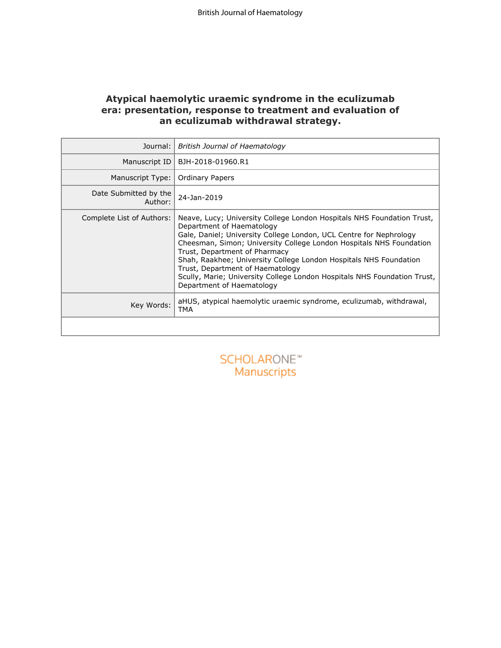# **Atypical haemolytic uraemic syndrome in the eculizumab era: presentation, response to treatment and evaluation of an eculizumab withdrawal strategy.**

| Journal:                         | British Journal of Haematology                                                                                                                                                                                                                                                                                                                                                                                                                                                                      |
|----------------------------------|-----------------------------------------------------------------------------------------------------------------------------------------------------------------------------------------------------------------------------------------------------------------------------------------------------------------------------------------------------------------------------------------------------------------------------------------------------------------------------------------------------|
| Manuscript ID                    | BJH-2018-01960.R1                                                                                                                                                                                                                                                                                                                                                                                                                                                                                   |
| Manuscript Type:                 | <b>Ordinary Papers</b>                                                                                                                                                                                                                                                                                                                                                                                                                                                                              |
| Date Submitted by the<br>Author: | 24-Jan-2019                                                                                                                                                                                                                                                                                                                                                                                                                                                                                         |
| Complete List of Authors:        | Neave, Lucy; University College London Hospitals NHS Foundation Trust,<br>Department of Haematology<br>Gale, Daniel; University College London, UCL Centre for Nephrology<br>Cheesman, Simon; University College London Hospitals NHS Foundation<br>Trust, Department of Pharmacy<br>Shah, Raakhee; University College London Hospitals NHS Foundation<br>Trust, Department of Haematology<br>Scully, Marie; University College London Hospitals NHS Foundation Trust,<br>Department of Haematology |
| Key Words:                       | aHUS, atypical haemolytic uraemic syndrome, eculizumab, withdrawal,<br><b>TMA</b>                                                                                                                                                                                                                                                                                                                                                                                                                   |
|                                  |                                                                                                                                                                                                                                                                                                                                                                                                                                                                                                     |
|                                  | SCHOLARONE <sup>*</sup><br><b>Manuscripts</b>                                                                                                                                                                                                                                                                                                                                                                                                                                                       |

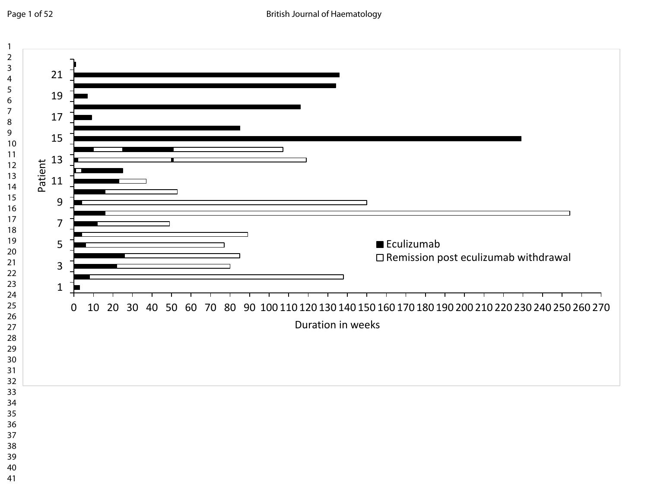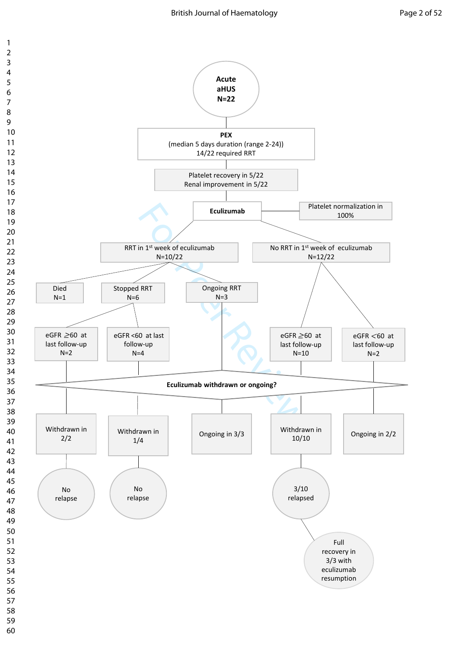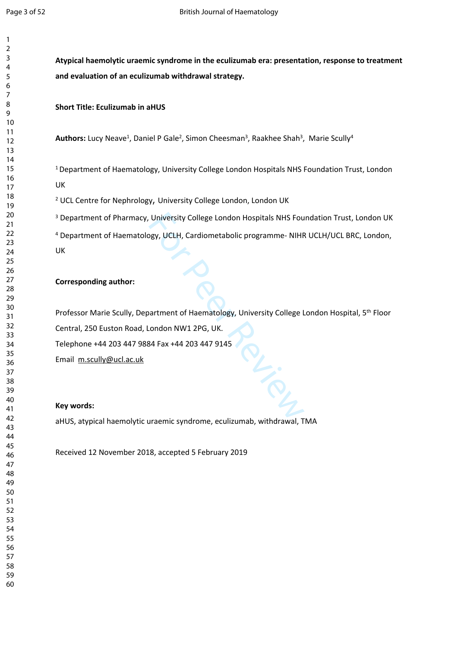**Atypical haemolytic uraemic syndrome in the eculizumab era: presentation, response to treatment and evaluation of an eculizumab withdrawal strategy.** 

## **Short Title: Eculizumab in aHUS**

Authors: Lucy Neave<sup>1</sup>, Daniel P Gale<sup>2</sup>, Simon Cheesman<sup>3</sup>, Raakhee Shah<sup>3</sup>, Marie Scully<sup>4</sup>

<sup>1</sup> Department of Haematology, University College London Hospitals NHS Foundation Trust, London UK

<sup>2</sup> UCL Centre for Nephrology, University College London, London UK

<sup>3</sup> Department of Pharmacy, University College London Hospitals NHS Foundation Trust, London UK

 Department of Haematology, UCLH, Cardiometabolic programme- NIHR UCLH/UCL BRC, London, UK

## **Corresponding author:**

University College London Hospitals NHS Fourty UCLH, Cardiometabolic programme- NIHF Professor Marie Scully, Department of Haematology, University College London Hospital, 5<sup>th</sup> Floor Central, 250 Euston Road, London NW1 2PG, UK. Telephone +44 203 447 9884 Fax +44 203 447 9145 Email [m.scully@ucl.ac.uk](mailto:Marie.Scully@uclh.nhs.uk)

### **Key words:**

aHUS, atypical haemolytic uraemic syndrome, eculizumab, withdrawal, TMA

Received 12 November 2018, accepted 5 February 2019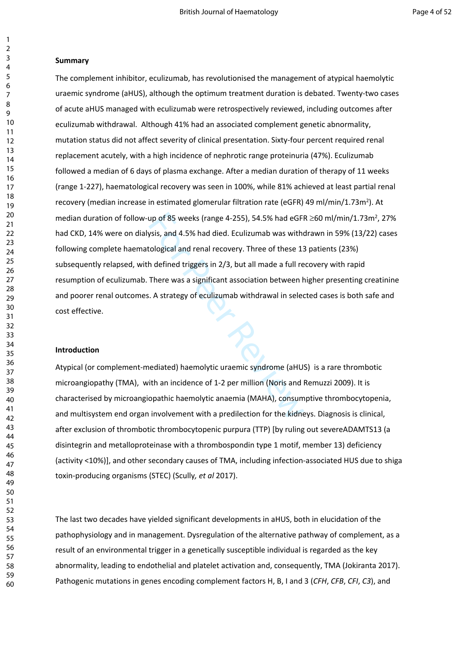#### **Summary**

up of 85 weeks (range 4-255), 54.5% had eGFI<br>ysis, and 4.5% had died. Eculizumab was with<br>tological and renal recovery. Three of these 13<br>h defined triggers in 2/3, but all made a full re<br>There was a significant associatio The complement inhibitor, eculizumab, has revolutionised the management of atypical haemolytic uraemic syndrome (aHUS), although the optimum treatment duration is debated. Twenty-two cases of acute aHUS managed with eculizumab were retrospectively reviewed, including outcomes after eculizumab withdrawal. Although 41% had an associated complement genetic abnormality, mutation status did not affect severity of clinical presentation. Sixty-four percent required renal replacement acutely, with a high incidence of nephrotic range proteinuria (47%). Eculizumab followed a median of 6 days of plasma exchange. After a median duration of therapy of 11 weeks (range 1-227), haematological recovery was seen in 100%, while 81% achieved at least partial renal recovery (median increase in estimated glomerular filtration rate (eGFR) 49 ml/min/1.73m<sup>2</sup>). At median duration of follow-up of 85 weeks (range 4-255), 54.5% had eGFR ≥60 ml/min/1.73m<sup>2</sup>, 27% had CKD, 14% were on dialysis, and 4.5% had died. Eculizumab was withdrawn in 59% (13/22) cases following complete haematological and renal recovery. Three of these 13 patients (23%) subsequently relapsed, with defined triggers in 2/3, but all made a full recovery with rapid resumption of eculizumab. There was a significant association between higher presenting creatinine and poorer renal outcomes. A strategy of eculizumab withdrawal in selected cases is both safe and cost effective.

### **Introduction**

Atypical (or complement-mediated) haemolytic uraemic syndrome (aHUS) is a rare thrombotic microangiopathy (TMA), with an incidence of 1-2 per million (Noris and Remuzzi 2009). It is characterised by microangiopathic haemolytic anaemia (MAHA), consumptive thrombocytopenia, and multisystem end organ involvement with a predilection for the kidneys. Diagnosis is clinical, after exclusion of thrombotic thrombocytopenic purpura (TTP) [by ruling out severeADAMTS13 (a disintegrin and metalloproteinase with a thrombospondin type 1 motif, member 13) deficiency (activity <10%)], and other secondary causes of TMA, including infection-associated HUS due to shiga toxin-producing organisms (STEC) (Scully*, et al* 2017).

The last two decades have yielded significant developments in aHUS, both in elucidation of the pathophysiology and in management. Dysregulation of the alternative pathway of complement, as a result of an environmental trigger in a genetically susceptible individual is regarded as the key abnormality, leading to endothelial and platelet activation and, consequently, TMA (Jokiranta 2017). Pathogenic mutations in genes encoding complement factors H, B, I and 3 (*CFH*, *CFB*, *CFI*, *C3*), and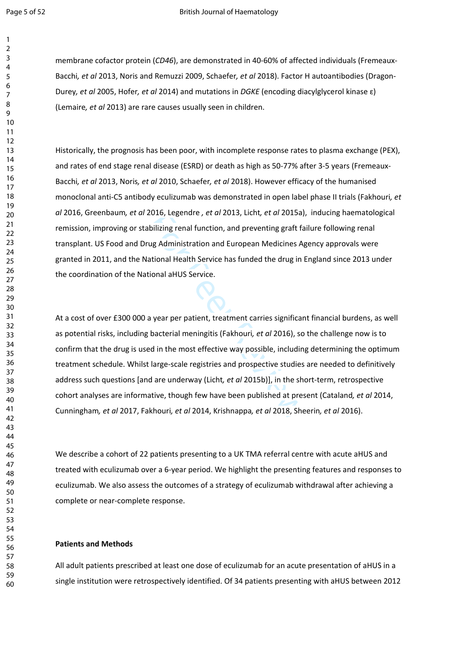$\mathbf{1}$ 

#### Page 5 of 52 **British Journal of Haematology**

membrane cofactor protein (*CD46*), are demonstrated in 40-60% of affected individuals (Fremeaux-Bacchi*, et al* 2013, Noris and Remuzzi 2009, Schaefer*, et al* 2018). Factor H autoantibodies (Dragon-Durey*, et al* 2005, Hofer*, et al* 2014) and mutations in *DGKE* (encoding diacylglycerol kinase ɛ) (Lemaire*, et al* 2013) are rare causes usually seen in children.

Historically, the prognosis has been poor, with incomplete response rates to plasma exchange (PEX), and rates of end stage renal disease (ESRD) or death as high as 50-77% after 3-5 years (Fremeaux-Bacchi*, et al* 2013, Noris*, et al* 2010, Schaefer*, et al* 2018). However efficacy of the humanised monoclonal anti-C5 antibody eculizumab was demonstrated in open label phase II trials (Fakhouri*, et al* 2016, Greenbaum*, et al* 2016, Legendre *, et al* 2013, Licht*, et al* 2015a), inducing haematological remission, improving or stabilizing renal function, and preventing graft failure following renal transplant. US Food and Drug Administration and European Medicines Agency approvals were granted in 2011, and the National Health Service has funded the drug in England since 2013 under the coordination of the National aHUS Service.

2016, Legendre, *et al* 2013, Licht, *et al* 2015a)<br>bilizing renal function, and preventing graft fa<br>ug Administration and European Medicines A<br>ational Health Service has funded the drug in<br>ional aHUS Service.<br>a<br>payear per At a cost of over £300 000 a year per patient, treatment carries significant financial burdens, as well as potential risks, including bacterial meningitis (Fakhouri*, et al* 2016), so the challenge now is to confirm that the drug is used in the most effective way possible, including determining the optimum treatment schedule. Whilst large-scale registries and prospective studies are needed to definitively address such questions [and are underway (Licht*, et al* 2015b)], in the short-term, retrospective cohort analyses are informative, though few have been published at present (Cataland*, et al* 2014, Cunningham*, et al* 2017, Fakhouri*, et al* 2014, Krishnappa*, et al* 2018, Sheerin*, et al* 2016).

We describe a cohort of 22 patients presenting to a UK TMA referral centre with acute aHUS and treated with eculizumab over a 6-year period. We highlight the presenting features and responses to eculizumab. We also assess the outcomes of a strategy of eculizumab withdrawal after achieving a complete or near-complete response.

### **Patients and Methods**

All adult patients prescribed at least one dose of eculizumab for an acute presentation of aHUS in a single institution were retrospectively identified. Of 34 patients presenting with aHUS between 2012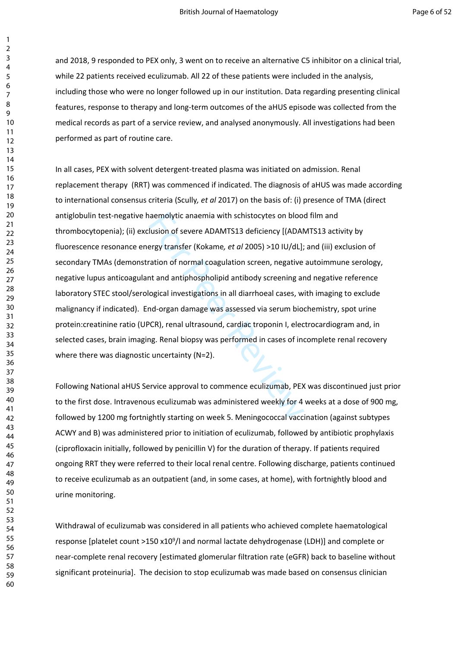and 2018, 9 responded to PEX only, 3 went on to receive an alternative C5 inhibitor on a clinical trial, while 22 patients received eculizumab. All 22 of these patients were included in the analysis, including those who were no longer followed up in our institution. Data regarding presenting clinical features, response to therapy and long-term outcomes of the aHUS episode was collected from the medical records as part of a service review, and analysed anonymously. All investigations had been performed as part of routine care.

aaemolytic anaemia with schistocytes on bloom<br>
lusion of severe ADAMTS13 deficiency [(ADAN<br>
ergy transfer (Kokame, *et al* 2005) >10 IU/dL];<br>
ration of normal coagulation screen, negative<br>
nt and antiphospholipid antibody In all cases, PEX with solvent detergent-treated plasma was initiated on admission. Renal replacement therapy (RRT) was commenced if indicated. The diagnosis of aHUS was made according to international consensus criteria (Scully*, et al* 2017) on the basis of: (i) presence of TMA (direct antiglobulin test-negative haemolytic anaemia with schistocytes on blood film and thrombocytopenia); (ii) exclusion of severe ADAMTS13 deficiency [(ADAMTS13 activity by fluorescence resonance energy transfer (Kokame*, et al* 2005) >10 IU/dL]; and (iii) exclusion of secondary TMAs (demonstration of normal coagulation screen, negative autoimmune serology, negative lupus anticoagulant and antiphospholipid antibody screening and negative reference laboratory STEC stool/serological investigations in all diarrhoeal cases, with imaging to exclude malignancy if indicated). End-organ damage was assessed via serum biochemistry, spot urine protein:creatinine ratio (UPCR), renal ultrasound, cardiac troponin I, electrocardiogram and, in selected cases, brain imaging. Renal biopsy was performed in cases of incomplete renal recovery where there was diagnostic uncertainty (N=2).

Following National aHUS Service approval to commence eculizumab, PEX was discontinued just prior to the first dose. Intravenous eculizumab was administered weekly for 4 weeks at a dose of 900 mg, followed by 1200 mg fortnightly starting on week 5. Meningococcal vaccination (against subtypes ACWY and B) was administered prior to initiation of eculizumab, followed by antibiotic prophylaxis (ciprofloxacin initially, followed by penicillin V) for the duration of therapy. If patients required ongoing RRT they were referred to their local renal centre. Following discharge, patients continued to receive eculizumab as an outpatient (and, in some cases, at home), with fortnightly blood and urine monitoring.

Withdrawal of eculizumab was considered in all patients who achieved complete haematological response [platelet count >150 x10<sup>9</sup>/l and normal lactate dehydrogenase (LDH)] and complete or near-complete renal recovery [estimated glomerular filtration rate (eGFR) back to baseline without significant proteinuria]. The decision to stop eculizumab was made based on consensus clinician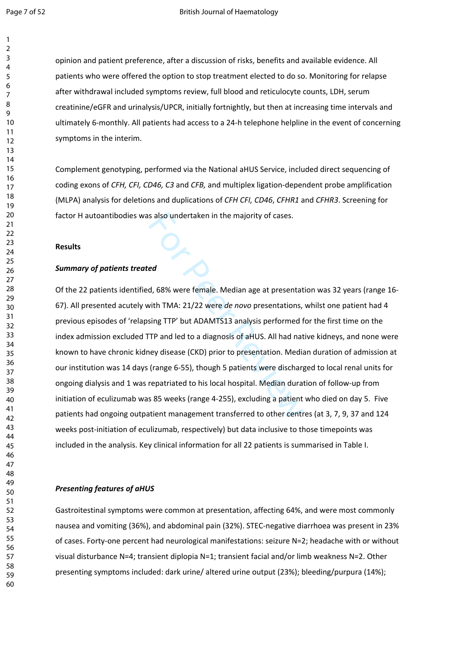opinion and patient preference, after a discussion of risks, benefits and available evidence. All patients who were offered the option to stop treatment elected to do so. Monitoring for relapse after withdrawal included symptoms review, full blood and reticulocyte counts, LDH, serum creatinine/eGFR and urinalysis/UPCR, initially fortnightly, but then at increasing time intervals and ultimately 6-monthly. All patients had access to a 24-h telephone helpline in the event of concerning symptoms in the interim.

Complement genotyping, performed via the National aHUS Service, included direct sequencing of coding exons of *CFH, CFI, CD46, C3* and *CFB,* and multiplex ligation-dependent probe amplification (MLPA) analysis for deletions and duplications of *CFH CFI, CD46*, *CFHR1* and *CFHR3*. Screening for factor H autoantibodies was also undertaken in the majority of cases.

#### **Results**

### *Summary of patients treated*

s also undertaken in the majority of cases.<br>
ed<br>
d, 68% were female. Median age at presentat<br>
vith TMA: 21/22 were *de novo* presentations,<br>
sing TTP' but ADAMTS13 analysis performed f<br>
TP and led to a diagnosis of aHUS. A Of the 22 patients identified, 68% were female. Median age at presentation was 32 years (range 16- 67). All presented acutely with TMA: 21/22 were *de novo* presentations, whilst one patient had 4 previous episodes of 'relapsing TTP' but ADAMTS13 analysis performed for the first time on the index admission excluded TTP and led to a diagnosis of aHUS. All had native kidneys, and none were known to have chronic kidney disease (CKD) prior to presentation. Median duration of admission at our institution was 14 days (range 6-55), though 5 patients were discharged to local renal units for ongoing dialysis and 1 was repatriated to his local hospital. Median duration of follow-up from initiation of eculizumab was 85 weeks (range 4-255), excluding a patient who died on day 5. Five patients had ongoing outpatient management transferred to other centres (at 3, 7, 9, 37 and 124 weeks post-initiation of eculizumab, respectively) but data inclusive to those timepoints was included in the analysis. Key clinical information for all 22 patients is summarised in Table I.

### *Presenting features of aHUS*

Gastroitestinal symptoms were common at presentation, affecting 64%, and were most commonly nausea and vomiting (36%), and abdominal pain (32%). STEC-negative diarrhoea was present in 23% of cases. Forty-one percent had neurological manifestations: seizure N=2; headache with or without visual disturbance N=4; transient diplopia N=1; transient facial and/or limb weakness N=2. Other presenting symptoms included: dark urine/ altered urine output (23%); bleeding/purpura (14%);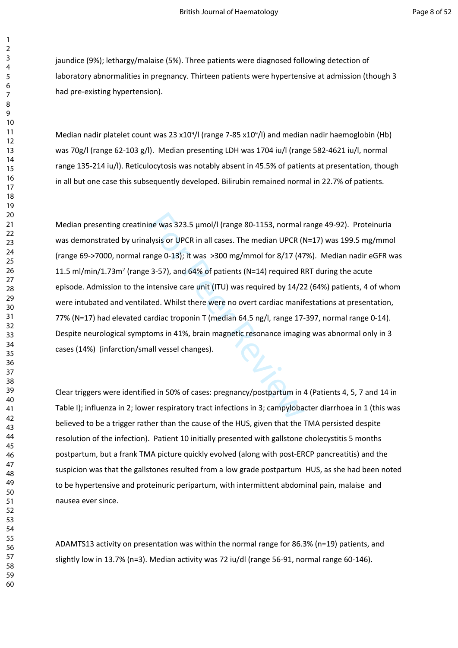jaundice (9%); lethargy/malaise (5%). Three patients were diagnosed following detection of laboratory abnormalities in pregnancy. Thirteen patients were hypertensive at admission (though 3 had pre-existing hypertension).

Median nadir platelet count was 23 x10<sup>9</sup>/l (range 7-85 x10<sup>9</sup>/l) and median nadir haemoglobin (Hb) was 70g/l (range 62-103 g/l). Median presenting LDH was 1704 iu/l (range 582-4621 iu/l, normal range 135-214 iu/l). Reticulocytosis was notably absent in 45.5% of patients at presentation, though in all but one case this subsequently developed. Bilirubin remained normal in 22.7% of patients.

ne was 323.5 µmol/l (range 80-1153, normal in<br>the ulysis or UPCR in all cases. The median UPCR (I<br>inge 0-13); it was >300 mg/mmol for 8/17 (47<br>3-57), and 64% of patients (N=14) required R<br>intensive care unit (ITU) was requ Median presenting creatinine was 323.5 µmol/l (range 80-1153, normal range 49-92). Proteinuria was demonstrated by urinalysis or UPCR in all cases. The median UPCR (N=17) was 199.5 mg/mmol (range 69->7000, normal range 0-13); it was >300 mg/mmol for 8/17 (47%). Median nadir eGFR was 11.5 ml/min/1.73m<sup>2</sup> (range 3-57), and 64% of patients (N=14) required RRT during the acute episode. Admission to the intensive care unit (ITU) was required by 14/22 (64%) patients, 4 of whom were intubated and ventilated. Whilst there were no overt cardiac manifestations at presentation, 77% (N=17) had elevated cardiac troponin T (median 64.5 ng/l, range 17-397, normal range 0-14). Despite neurological symptoms in 41%, brain magnetic resonance imaging was abnormal only in 3 cases (14%) (infarction/small vessel changes).

Clear triggers were identified in 50% of cases: pregnancy/postpartum in 4 (Patients 4, 5, 7 and 14 in Table I); influenza in 2; lower respiratory tract infections in 3; campylobacter diarrhoea in 1 (this was believed to be a trigger rather than the cause of the HUS, given that the TMA persisted despite resolution of the infection). Patient 10 initially presented with gallstone cholecystitis 5 months postpartum, but a frank TMA picture quickly evolved (along with post-ERCP pancreatitis) and the suspicion was that the gallstones resulted from a low grade postpartum HUS, as she had been noted to be hypertensive and proteinuric peripartum, with intermittent abdominal pain, malaise and nausea ever since.

ADAMTS13 activity on presentation was within the normal range for 86.3% (n=19) patients, and slightly low in 13.7% (n=3). Median activity was 72 iu/dl (range 56-91, normal range 60-146).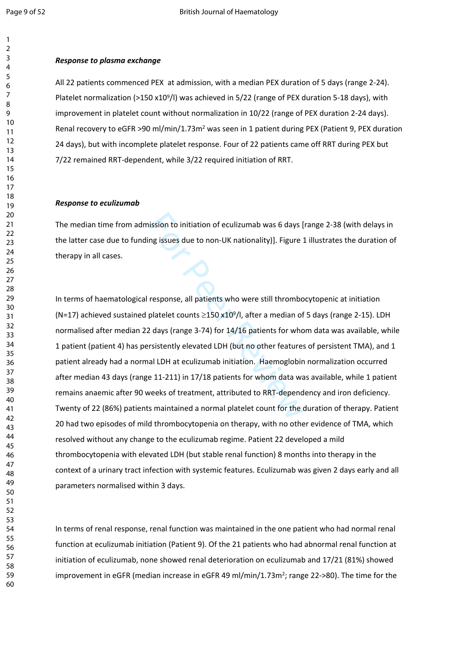$\mathbf{1}$ 

#### *Response to plasma exchange*

All 22 patients commenced PEX at admission, with a median PEX duration of 5 days (range 2-24). Platelet normalization (>150 x10<sup>9</sup>/l) was achieved in 5/22 (range of PEX duration 5-18 days), with improvement in platelet count without normalization in 10/22 (range of PEX duration 2-24 days). Renal recovery to eGFR >90 ml/min/1.73m<sup>2</sup> was seen in 1 patient during PEX (Patient 9, PEX duration 24 days), but with incomplete platelet response. Four of 22 patients came off RRT during PEX but 7/22 remained RRT-dependent, while 3/22 required initiation of RRT.

## *Response to eculizumab*

The median time from admission to initiation of eculizumab was 6 days [range 2-38 (with delays in the latter case due to funding issues due to non-UK nationality)]. Figure 1 illustrates the duration of therapy in all cases.

ission to initiation of eculizumab was 6 days [<br>ng issues due to non-UK nationality]]. Figure 1<br>response, all patients who were still thrombo<br>platelet counts  $\geq$ 150 x10<sup>9</sup>/l, after a median of<br>2 days (range 3-74) for 14 In terms of haematological response, all patients who were still thrombocytopenic at initiation (N=17) achieved sustained platelet counts  $\geq$ 150 x10<sup>9</sup>/l, after a median of 5 days (range 2-15). LDH normalised after median 22 days (range 3-74) for 14/16 patients for whom data was available, while 1 patient (patient 4) has persistently elevated LDH (but no other features of persistent TMA), and 1 patient already had a normal LDH at eculizumab initiation. Haemoglobin normalization occurred after median 43 days (range 11-211) in 17/18 patients for whom data was available, while 1 patient remains anaemic after 90 weeks of treatment, attributed to RRT-dependency and iron deficiency. Twenty of 22 (86%) patients maintained a normal platelet count for the duration of therapy. Patient 20 had two episodes of mild thrombocytopenia on therapy, with no other evidence of TMA, which resolved without any change to the eculizumab regime. Patient 22 developed a mild thrombocytopenia with elevated LDH (but stable renal function) 8 months into therapy in the context of a urinary tract infection with systemic features. Eculizumab was given 2 days early and all parameters normalised within 3 days.

In terms of renal response, renal function was maintained in the one patient who had normal renal function at eculizumab initiation (Patient 9). Of the 21 patients who had abnormal renal function at initiation of eculizumab, none showed renal deterioration on eculizumab and 17/21 (81%) showed improvement in eGFR (median increase in eGFR 49 ml/min/1.73m<sup>2</sup>; range 22->80). The time for the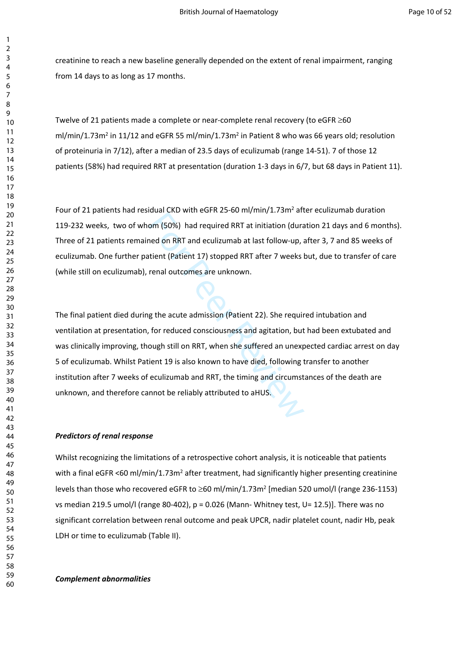creatinine to reach a new baseline generally depended on the extent of renal impairment, ranging from 14 days to as long as 17 months.

Twelve of 21 patients made a complete or near-complete renal recovery (to eGFR  $\geq$ 60  $ml/min/1.73m<sup>2</sup>$  in 11/12 and eGFR 55 ml/min/1.73m<sup>2</sup> in Patient 8 who was 66 years old; resolution of proteinuria in 7/12), after a median of 23.5 days of eculizumab (range 14-51). 7 of those 12 patients (58%) had required RRT at presentation (duration 1-3 days in 6/7, but 68 days in Patient 11).

Four of 21 patients had residual CKD with eGFR 25-60 ml/min/1.73m<sup>2</sup> after eculizumab duration 119-232 weeks, two of whom (50%) had required RRT at initiation (duration 21 days and 6 months). Three of 21 patients remained on RRT and eculizumab at last follow-up, after 3, 7 and 85 weeks of eculizumab. One further patient (Patient 17) stopped RRT after 7 weeks but, due to transfer of care (while still on eculizumab), renal outcomes are unknown.

om (50%) had required RRT at initiation (durated on RRT and eculizumab at last follow-up, attient (Patient 17) stopped RRT after 7 weeks renal outcomes are unknown.<br>For Peer Review and Strate 7 weeks renal outcomes are unk The final patient died during the acute admission (Patient 22). She required intubation and ventilation at presentation, for reduced consciousness and agitation, but had been extubated and was clinically improving, though still on RRT, when she suffered an unexpected cardiac arrest on day 5 of eculizumab. Whilst Patient 19 is also known to have died, following transfer to another institution after 7 weeks of eculizumab and RRT, the timing and circumstances of the death are unknown, and therefore cannot be reliably attributed to aHUS.

#### *Predictors of renal response*

Whilst recognizing the limitations of a retrospective cohort analysis, it is noticeable that patients with a final eGFR <60 ml/min/1.73m<sup>2</sup> after treatment, had significantly higher presenting creatinine levels than those who recovered eGFR to  $\geq$ 60 ml/min/1.73m<sup>2</sup> [median 520 umol/l (range 236-1153) vs median 219.5 umol/l (range 80-402),  $p = 0.026$  (Mann- Whitney test, U= 12.5)]. There was no significant correlation between renal outcome and peak UPCR, nadir platelet count, nadir Hb, peak LDH or time to eculizumab (Table II).

### *Complement abnormalities*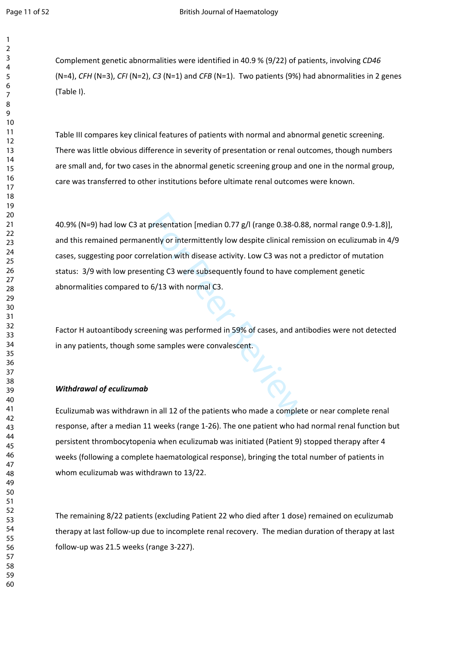$\mathbf{1}$ 

Complement genetic abnormalities were identified in 40.9 % (9/22) of patients, involving *CD46* (N=4), *CFH* (N=3), *CFI* (N=2), *C3* (N=1) and *CFB* (N=1). Two patients (9%) had abnormalities in 2 genes (Table I).

Table III compares key clinical features of patients with normal and abnormal genetic screening. There was little obvious difference in severity of presentation or renal outcomes, though numbers are small and, for two cases in the abnormal genetic screening group and one in the normal group, care was transferred to other institutions before ultimate renal outcomes were known.

presentation [median 0.77 g/l (range 0.38-0.8<br>
ently or intermittently low despite clinical rem<br>
elation with disease activity. Low C3 was not a<br>
ting C3 were subsequently found to have cor<br>
6/13 with normal C3.<br>
ening was 40.9% (N=9) had low C3 at presentation [median 0.77 g/l (range 0.38-0.88, normal range 0.9-1.8)], and this remained permanently or intermittently low despite clinical remission on eculizumab in 4/9 cases, suggesting poor correlation with disease activity. Low C3 was not a predictor of mutation status: 3/9 with low presenting C3 were subsequently found to have complement genetic abnormalities compared to 6/13 with normal C3.

Factor H autoantibody screening was performed in 59% of cases, and antibodies were not detected in any patients, though some samples were convalescent.

### *Withdrawal of eculizumab*

Eculizumab was withdrawn in all 12 of the patients who made a complete or near complete renal response, after a median 11 weeks (range 1-26). The one patient who had normal renal function but persistent thrombocytopenia when eculizumab was initiated (Patient 9) stopped therapy after 4 weeks (following a complete haematological response), bringing the total number of patients in whom eculizumab was withdrawn to 13/22.

The remaining 8/22 patients (excluding Patient 22 who died after 1 dose) remained on eculizumab therapy at last follow-up due to incomplete renal recovery. The median duration of therapy at last follow-up was 21.5 weeks (range 3-227).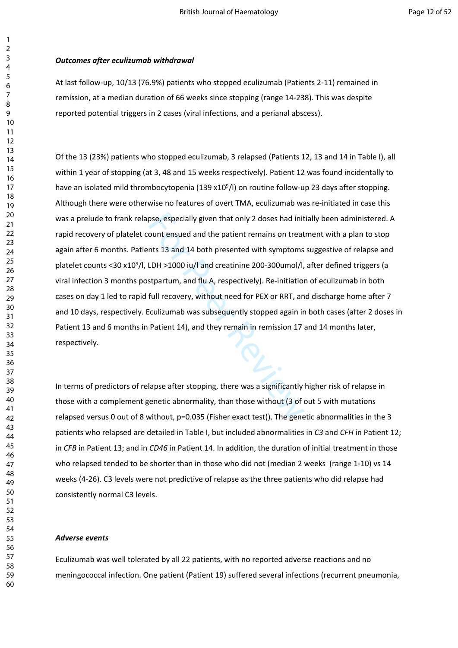### *Outcomes after eculizumab withdrawal*

At last follow-up, 10/13 (76.9%) patients who stopped eculizumab (Patients 2-11) remained in remission, at a median duration of 66 weeks since stopping (range 14-238). This was despite reported potential triggers in 2 cases (viral infections, and a perianal abscess).

pse, especially given that only 2 doses had init<br>ount ensued and the patient remains on treat<br>nts 13 and 14 both presented with symptoms<br>LDH >1000 iu/l and creatinine 200-300umol/l,<br>stpartum, and flu A, respectively). Re-i Of the 13 (23%) patients who stopped eculizumab, 3 relapsed (Patients 12, 13 and 14 in Table I), all within 1 year of stopping (at 3, 48 and 15 weeks respectively). Patient 12 was found incidentally to have an isolated mild thrombocytopenia (139 x10<sup>9</sup>/l) on routine follow-up 23 days after stopping. Although there were otherwise no features of overt TMA, eculizumab was re-initiated in case this was a prelude to frank relapse, especially given that only 2 doses had initially been administered. A rapid recovery of platelet count ensued and the patient remains on treatment with a plan to stop again after 6 months. Patients 13 and 14 both presented with symptoms suggestive of relapse and platelet counts <30 x10<sup>9</sup>/l, LDH >1000 iu/l and creatinine 200-300umol/l, after defined triggers (a viral infection 3 months postpartum, and flu A, respectively). Re-initiation of eculizumab in both cases on day 1 led to rapid full recovery, without need for PEX or RRT, and discharge home after 7 and 10 days, respectively. Eculizumab was subsequently stopped again in both cases (after 2 doses in Patient 13 and 6 months in Patient 14), and they remain in remission 17 and 14 months later, respectively.

In terms of predictors of relapse after stopping, there was a significantly higher risk of relapse in those with a complement genetic abnormality, than those without (3 of out 5 with mutations relapsed versus 0 out of 8 without, p=0.035 (Fisher exact test)). The genetic abnormalities in the 3 patients who relapsed are detailed in Table I, but included abnormalities in *C3* and *CFH* in Patient 12; in *CFB* in Patient 13; and in *CD46* in Patient 14. In addition, the duration of initial treatment in those who relapsed tended to be shorter than in those who did not (median 2 weeks (range 1-10) vs 14 weeks (4-26). C3 levels were not predictive of relapse as the three patients who did relapse had consistently normal C3 levels.

### *Adverse events*

Eculizumab was well tolerated by all 22 patients, with no reported adverse reactions and no meningococcal infection. One patient (Patient 19) suffered several infections (recurrent pneumonia,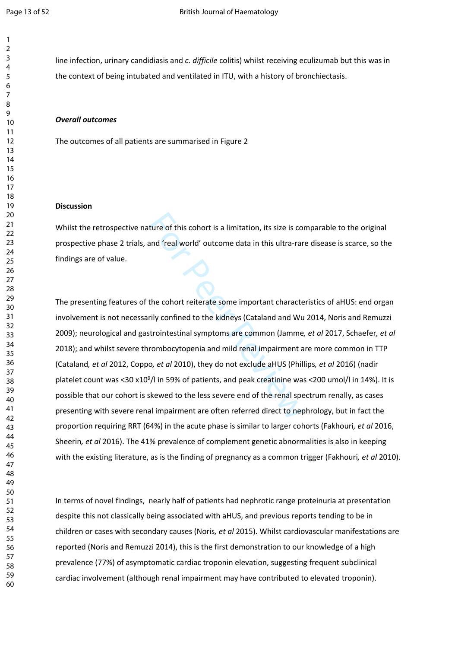line infection, urinary candidiasis and *c. difficile* colitis) whilst receiving eculizumab but this was in the context of being intubated and ventilated in ITU, with a history of bronchiectasis.

### *Overall outcomes*

The outcomes of all patients are summarised in Figure 2

### **Discussion**

Whilst the retrospective nature of this cohort is a limitation, its size is comparable to the original prospective phase 2 trials, and 'real world' outcome data in this ultra-rare disease is scarce, so the findings are of value.

ture of this cohort is a limitation, its size is cound 'real world' outcome data in this ultra-rar<br>the cohort reiterate some important characte<br>rily confined to the kidneys (Cataland and Wu<br>strointestinal symptoms are comm The presenting features of the cohort reiterate some important characteristics of aHUS: end organ involvement is not necessarily confined to the kidneys (Cataland and Wu 2014, Noris and Remuzzi 2009); neurological and gastrointestinal symptoms are common (Jamme*, et al* 2017, Schaefer*, et al* 2018); and whilst severe thrombocytopenia and mild renal impairment are more common in TTP (Cataland*, et al* 2012, Coppo*, et al* 2010), they do not exclude aHUS (Phillips*, et al* 2016) (nadir platelet count was <30 x10<sup>9</sup>/l in 59% of patients, and peak creatinine was <200 umol/l in 14%). It is possible that our cohort is skewed to the less severe end of the renal spectrum renally, as cases presenting with severe renal impairment are often referred direct to nephrology, but in fact the proportion requiring RRT (64%) in the acute phase is similar to larger cohorts (Fakhouri*, et al* 2016, Sheerin*, et al* 2016). The 41% prevalence of complement genetic abnormalities is also in keeping with the existing literature, as is the finding of pregnancy as a common trigger (Fakhouri*, et al* 2010).

In terms of novel findings, nearly half of patients had nephrotic range proteinuria at presentation despite this not classically being associated with aHUS, and previous reports tending to be in children or cases with secondary causes (Noris*, et al* 2015). Whilst cardiovascular manifestations are reported (Noris and Remuzzi 2014), this is the first demonstration to our knowledge of a high prevalence (77%) of asymptomatic cardiac troponin elevation, suggesting frequent subclinical cardiac involvement (although renal impairment may have contributed to elevated troponin).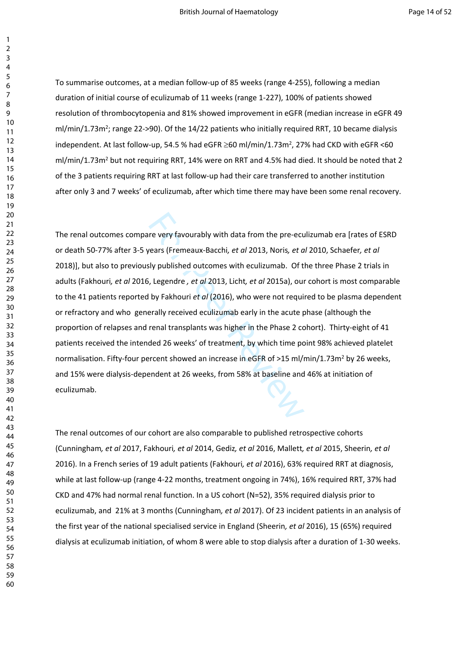To summarise outcomes, at a median follow-up of 85 weeks (range 4-255), following a median duration of initial course of eculizumab of 11 weeks (range 1-227), 100% of patients showed resolution of thrombocytopenia and 81% showed improvement in eGFR (median increase in eGFR 49  $ml/min/1.73m<sup>2</sup>$ ; range 22->90). Of the 14/22 patients who initially required RRT, 10 became dialysis independent. At last follow-up, 54.5 % had eGFR  $\geq$  60 ml/min/1.73m<sup>2</sup>, 27% had CKD with eGFR < 60 ml/min/1.73m<sup>2</sup> but not requiring RRT, 14% were on RRT and 4.5% had died. It should be noted that 2 of the 3 patients requiring RRT at last follow-up had their care transferred to another institution after only 3 and 7 weeks' of eculizumab, after which time there may have been some renal recovery.

re very favourably with data from the pre-ecu<br>
rears (Fremeaux-Bacchi, *et al* 2013, Noris, *et a*<br>
sly published outcomes with eculizumab. Of t<br>
i, Legendre, *et al* 2013, Licht, *et al* 2015a), our<br>
by Fakhouri *et al* ( The renal outcomes compare very favourably with data from the pre-eculizumab era [rates of ESRD or death 50-77% after 3-5 years (Fremeaux-Bacchi*, et al* 2013, Noris*, et al* 2010, Schaefer*, et al* 2018)], but also to previously published outcomes with eculizumab. Of the three Phase 2 trials in adults (Fakhouri*, et al* 2016, Legendre *, et al* 2013, Licht*, et al* 2015a), our cohort is most comparable to the 41 patients reported by Fakhouri *et al* (2016), who were not required to be plasma dependent or refractory and who generally received eculizumab early in the acute phase (although the proportion of relapses and renal transplants was higher in the Phase 2 cohort). Thirty-eight of 41 patients received the intended 26 weeks' of treatment, by which time point 98% achieved platelet normalisation. Fifty-four percent showed an increase in eGFR of >15 ml/min/1.73m<sup>2</sup> by 26 weeks, and 15% were dialysis-dependent at 26 weeks, from 58% at baseline and 46% at initiation of eculizumab.

The renal outcomes of our cohort are also comparable to published retrospective cohorts (Cunningham*, et al* 2017, Fakhouri*, et al* 2014, Gediz*, et al* 2016, Mallett*, et al* 2015, Sheerin*, et al* 2016). In a French series of 19 adult patients (Fakhouri*, et al* 2016), 63% required RRT at diagnosis, while at last follow-up (range 4-22 months, treatment ongoing in 74%), 16% required RRT, 37% had CKD and 47% had normal renal function. In a US cohort (N=52), 35% required dialysis prior to eculizumab, and 21% at 3 months (Cunningham*, et al* 2017). Of 23 incident patients in an analysis of the first year of the national specialised service in England (Sheerin*, et al* 2016), 15 (65%) required dialysis at eculizumab initiation, of whom 8 were able to stop dialysis after a duration of 1-30 weeks.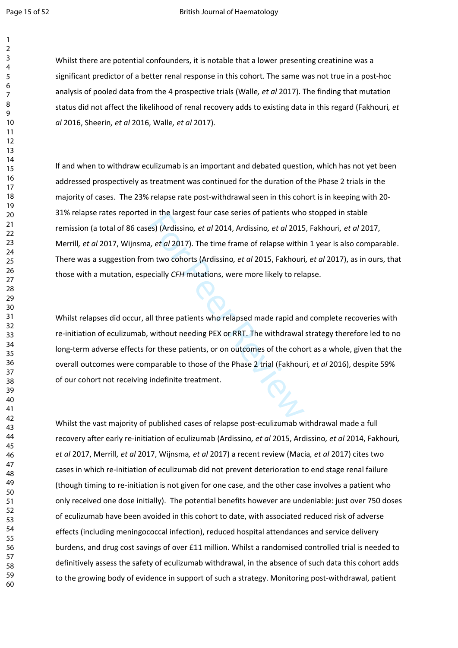Whilst there are potential confounders, it is notable that a lower presenting creatinine was a significant predictor of a better renal response in this cohort. The same was not true in a post-hoc analysis of pooled data from the 4 prospective trials (Walle*, et al* 2017). The finding that mutation status did not affect the likelihood of renal recovery adds to existing data in this regard (Fakhouri*, et al* 2016, Sheerin*, et al* 2016, Walle*, et al* 2017).

If and when to withdraw eculizumab is an important and debated question, which has not yet been addressed prospectively as treatment was continued for the duration of the Phase 2 trials in the majority of cases. The 23% relapse rate post-withdrawal seen in this cohort is in keeping with 20- 31% relapse rates reported in the largest four case series of patients who stopped in stable remission (a total of 86 cases) (Ardissino*, et al* 2014, Ardissino*, et al* 2015, Fakhouri*, et al* 2017, Merrill*, et al* 2017, Wijnsma*, et al* 2017). The time frame of relapse within 1 year is also comparable. There was a suggestion from two cohorts (Ardissino*, et al* 2015, Fakhouri*, et al* 2017), as in ours, that those with a mutation, especially *CFH* mutations, were more likely to relapse.

In the largest four case series of patients white<br>
as et al 2017). The time frame of relapse within<br>
m two cohorts (Ardissino, *et al* 2015, Fakhouri<br>
ecially *CFH* mutations, were more likely to rela<br>
all three patients w Whilst relapses did occur, all three patients who relapsed made rapid and complete recoveries with re-initiation of eculizumab, without needing PEX or RRT. The withdrawal strategy therefore led to no long-term adverse effects for these patients, or on outcomes of the cohort as a whole, given that the overall outcomes were comparable to those of the Phase 2 trial (Fakhouri*, et al* 2016), despite 59% of our cohort not receiving indefinite treatment.

Whilst the vast majority of published cases of relapse post-eculizumab withdrawal made a full recovery after early re-initiation of eculizumab (Ardissino*, et al* 2015, Ardissino*, et al* 2014, Fakhouri*, et al* 2017, Merrill*, et al* 2017, Wijnsma*, et al* 2017) a recent review (Macia*, et al* 2017) cites two cases in which re-initiation of eculizumab did not prevent deterioration to end stage renal failure (though timing to re-initiation is not given for one case, and the other case involves a patient who only received one dose initially). The potential benefits however are undeniable: just over 750 doses of eculizumab have been avoided in this cohort to date, with associated reduced risk of adverse effects (including meningococcal infection), reduced hospital attendances and service delivery burdens, and drug cost savings of over £11 million. Whilst a randomised controlled trial is needed to definitively assess the safety of eculizumab withdrawal, in the absence of such data this cohort adds to the growing body of evidence in support of such a strategy. Monitoring post-withdrawal, patient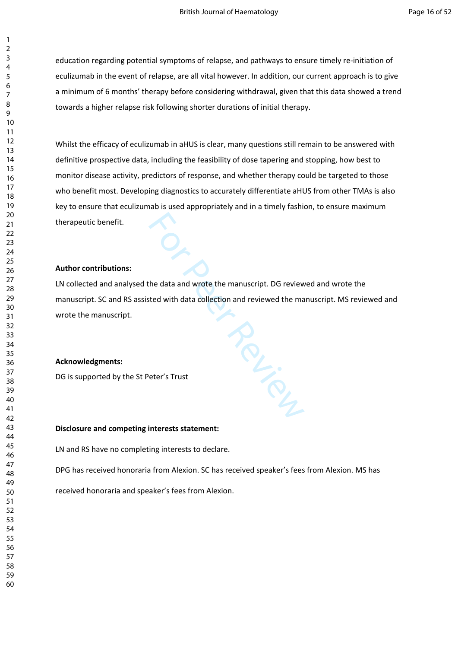education regarding potential symptoms of relapse, and pathways to ensure timely re-initiation of eculizumab in the event of relapse, are all vital however. In addition, our current approach is to give a minimum of 6 months' therapy before considering withdrawal, given that this data showed a trend towards a higher relapse risk following shorter durations of initial therapy.

Whilst the efficacy of eculizumab in aHUS is clear, many questions still remain to be answered with definitive prospective data, including the feasibility of dose tapering and stopping, how best to monitor disease activity, predictors of response, and whether therapy could be targeted to those who benefit most. Developing diagnostics to accurately differentiate aHUS from other TMAs is also key to ensure that eculizumab is used appropriately and in a timely fashion, to ensure maximum therapeutic benefit.

## **Author contributions:**

LN collected and analysed the data and wrote the manuscript. DG reviewed and wrote the manuscript. SC and RS assisted with data collection and reviewed the manuscript. MS reviewed and wrote the manuscript.

PRICE

### **Acknowledgments:**

DG is supported by the St Peter's Trust

### **Disclosure and competing interests statement:**

LN and RS have no completing interests to declare.

DPG has received honoraria from Alexion. SC has received speaker's fees from Alexion. MS has

received honoraria and speaker's fees from Alexion.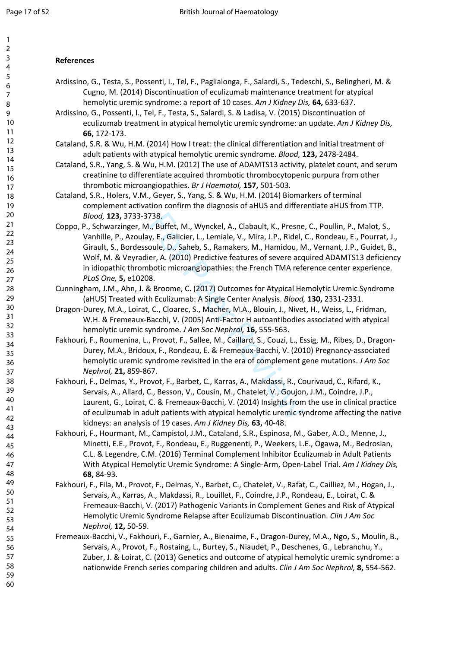$\mathbf{1}$ 

## 123456789  $\overline{2}$  $\overline{3}$  $\overline{4}$ 5 6  $\overline{7}$ 8 9 10 11 12 13 14 15 16 17 18 19 20 21 22 23 24 25 26 27 28 29 30 31 32 33 34 35 36 37 38 39 40 41 42 43 44 45 46 47 48 49 50 51 52 53 54 55 56 57 58

59 60

# **References**

- Ardissino, G., Testa, S., Possenti, I., Tel, F., Paglialonga, F., Salardi, S., Tedeschi, S., Belingheri, M. & Cugno, M. (2014) Discontinuation of eculizumab maintenance treatment for atypical hemolytic uremic syndrome: a report of 10 cases. *Am J Kidney Dis,* **64,** 633-637.
- Ardissino, G., Possenti, I., Tel, F., Testa, S., Salardi, S. & Ladisa, V. (2015) Discontinuation of eculizumab treatment in atypical hemolytic uremic syndrome: an update. *Am J Kidney Dis,*  **66,** 172-173.
- Cataland, S.R. & Wu, H.M. (2014) How I treat: the clinical differentiation and initial treatment of adult patients with atypical hemolytic uremic syndrome. *Blood,* **123,** 2478-2484.
- Cataland, S.R., Yang, S. & Wu, H.M. (2012) The use of ADAMTS13 activity, platelet count, and serum creatinine to differentiate acquired thrombotic thrombocytopenic purpura from other thrombotic microangiopathies. *Br J Haematol,* **157,** 501-503.
- Cataland, S.R., Holers, V.M., Geyer, S., Yang, S. & Wu, H.M. (2014) Biomarkers of terminal complement activation confirm the diagnosis of aHUS and differentiate aHUS from TTP. *Blood,* **123,** 3733-3738.
- 738.<br>
1., Buffet, M., Wynckel, A., Clabault, K., Presne<br>
y, E., Galicier, L., Lemiale, V., Mira, J.P., Ridel,<br>
oule, D., Saheb, S., Ramakers, M., Hamidou, N<br>
er, A. (2010) Predictive features of severe acq<br>
botic microangi Coppo, P., Schwarzinger, M., Buffet, M., Wynckel, A., Clabault, K., Presne, C., Poullin, P., Malot, S., Vanhille, P., Azoulay, E., Galicier, L., Lemiale, V., Mira, J.P., Ridel, C., Rondeau, E., Pourrat, J., Girault, S., Bordessoule, D., Saheb, S., Ramakers, M., Hamidou, M., Vernant, J.P., Guidet, B., Wolf, M. & Veyradier, A. (2010) Predictive features of severe acquired ADAMTS13 deficiency in idiopathic thrombotic microangiopathies: the French TMA reference center experience. *PLoS One,* **5,** e10208.
- Cunningham, J.M., Ahn, J. & Broome, C. (2017) Outcomes for Atypical Hemolytic Uremic Syndrome (aHUS) Treated with Eculizumab: A Single Center Analysis. *Blood,* **130,** 2331-2331.
- Dragon-Durey, M.A., Loirat, C., Cloarec, S., Macher, M.A., Blouin, J., Nivet, H., Weiss, L., Fridman, W.H. & Fremeaux-Bacchi, V. (2005) Anti-Factor H autoantibodies associated with atypical hemolytic uremic syndrome. *J Am Soc Nephrol,* **16,** 555-563.
- Fakhouri, F., Roumenina, L., Provot, F., Sallee, M., Caillard, S., Couzi, L., Essig, M., Ribes, D., Dragon-Durey, M.A., Bridoux, F., Rondeau, E. & Fremeaux-Bacchi, V. (2010) Pregnancy-associated hemolytic uremic syndrome revisited in the era of complement gene mutations. *J Am Soc Nephrol,* **21,** 859-867.
- Fakhouri, F., Delmas, Y., Provot, F., Barbet, C., Karras, A., Makdassi, R., Courivaud, C., Rifard, K., Servais, A., Allard, C., Besson, V., Cousin, M., Chatelet, V., Goujon, J.M., Coindre, J.P., Laurent, G., Loirat, C. & Fremeaux-Bacchi, V. (2014) Insights from the use in clinical practice of eculizumab in adult patients with atypical hemolytic uremic syndrome affecting the native kidneys: an analysis of 19 cases. *Am J Kidney Dis,* **63,** 40-48.
- Fakhouri, F., Hourmant, M., Campistol, J.M., Cataland, S.R., Espinosa, M., Gaber, A.O., Menne, J., Minetti, E.E., Provot, F., Rondeau, E., Ruggenenti, P., Weekers, L.E., Ogawa, M., Bedrosian, C.L. & Legendre, C.M. (2016) Terminal Complement Inhibitor Eculizumab in Adult Patients With Atypical Hemolytic Uremic Syndrome: A Single-Arm, Open-Label Trial. *Am J Kidney Dis,*  **68,** 84-93.
- Fakhouri, F., Fila, M., Provot, F., Delmas, Y., Barbet, C., Chatelet, V., Rafat, C., Cailliez, M., Hogan, J., Servais, A., Karras, A., Makdassi, R., Louillet, F., Coindre, J.P., Rondeau, E., Loirat, C. & Fremeaux-Bacchi, V. (2017) Pathogenic Variants in Complement Genes and Risk of Atypical Hemolytic Uremic Syndrome Relapse after Eculizumab Discontinuation. *Clin J Am Soc Nephrol,* **12,** 50-59.
- Fremeaux-Bacchi, V., Fakhouri, F., Garnier, A., Bienaime, F., Dragon-Durey, M.A., Ngo, S., Moulin, B., Servais, A., Provot, F., Rostaing, L., Burtey, S., Niaudet, P., Deschenes, G., Lebranchu, Y., Zuber, J. & Loirat, C. (2013) Genetics and outcome of atypical hemolytic uremic syndrome: a nationwide French series comparing children and adults. *Clin J Am Soc Nephrol,* **8,** 554-562.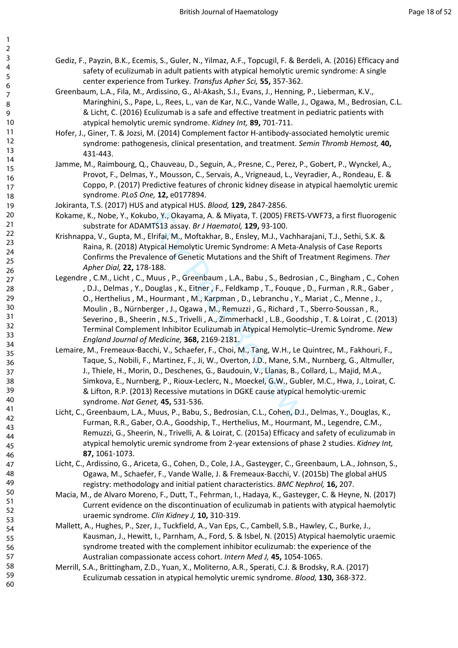- Gediz, F., Payzin, B.K., Ecemis, S., Guler, N., Yilmaz, A.F., Topcugil, F. & Berdeli, A. (2016) Efficacy and safety of eculizumab in adult patients with atypical hemolytic uremic syndrome: A single center experience from Turkey. *Transfus Apher Sci,* **55,** 357-362.
- Greenbaum, L.A., Fila, M., Ardissino, G., Al-Akash, S.I., Evans, J., Henning, P., Lieberman, K.V., Maringhini, S., Pape, L., Rees, L., van de Kar, N.C., Vande Walle, J., Ogawa, M., Bedrosian, C.L. & Licht, C. (2016) Eculizumab is a safe and effective treatment in pediatric patients with atypical hemolytic uremic syndrome. *Kidney Int,* **89,** 701-711.
- Hofer, J., Giner, T. & Jozsi, M. (2014) Complement factor H-antibody-associated hemolytic uremic syndrome: pathogenesis, clinical presentation, and treatment. *Semin Thromb Hemost,* **40,**  431-443.
- Jamme, M., Raimbourg, Q., Chauveau, D., Seguin, A., Presne, C., Perez, P., Gobert, P., Wynckel, A., Provot, F., Delmas, Y., Mousson, C., Servais, A., Vrigneaud, L., Veyradier, A., Rondeau, E. & Coppo, P. (2017) Predictive features of chronic kidney disease in atypical haemolytic uremic syndrome. *PLoS One,* **12,** e0177894.
- Jokiranta, T.S. (2017) HUS and atypical HUS. *Blood,* **129,** 2847-2856.
- Kokame, K., Nobe, Y., Kokubo, Y., Okayama, A. & Miyata, T. (2005) FRETS-VWF73, a first fluorogenic substrate for ADAMTS13 assay. *Br J Haematol,* **129,** 93-100.
- Krishnappa, V., Gupta, M., Elrifai, M., Moftakhar, B., Ensley, M.J., Vachharajani, T.J., Sethi, S.K. & Raina, R. (2018) Atypical Hemolytic Uremic Syndrome: A Meta-Analysis of Case Reports Confirms the Prevalence of Genetic Mutations and the Shift of Treatment Regimens. *Ther Apher Dial,* **22,** 178-188.
- bo, Y., Okayama, A. & Miyata, T. (2005) FRETS<br>
1TS13 assay. *Br J Haematol*, **129**, 93-100.<br>
Elrifai, M., Moftakhar, B., Ensley, M.J., Vachha<br>
ppical Hemolytic Uremic Syndrome: A Meta-A<br>
lence of Genetic Mutations and the Legendre , C.M., Licht , C., Muus , P., Greenbaum , L.A., Babu , S., Bedrosian , C., Bingham , C., Cohen , D.J., Delmas , Y., Douglas , K., Eitner , F., Feldkamp , T., Fouque , D., Furman , R.R., Gaber , O., Herthelius , M., Hourmant , M., Karpman , D., Lebranchu , Y., Mariat , C., Menne , J., Moulin , B., Nürnberger , J., Ogawa , M., Remuzzi , G., Richard , T., Sberro-Soussan , R., Severino , B., Sheerin , N.S., Trivelli , A., Zimmerhackl , L.B., Goodship , T. & Loirat , C. (2013) Terminal Complement Inhibitor Eculizumab in Atypical Hemolytic–Uremic Syndrome. *New England Journal of Medicine,* **368,** 2169-2181.
- Lemaire, M., Fremeaux-Bacchi, V., Schaefer, F., Choi, M., Tang, W.H., Le Quintrec, M., Fakhouri, F., Taque, S., Nobili, F., Martinez, F., Ji, W., Overton, J.D., Mane, S.M., Nurnberg, G., Altmuller, J., Thiele, H., Morin, D., Deschenes, G., Baudouin, V., Llanas, B., Collard, L., Majid, M.A., Simkova, E., Nurnberg, P., Rioux-Leclerc, N., Moeckel, G.W., Gubler, M.C., Hwa, J., Loirat, C. & Lifton, R.P. (2013) Recessive mutations in DGKE cause atypical hemolytic-uremic syndrome. *Nat Genet,* **45,** 531-536.
- Licht, C., Greenbaum, L.A., Muus, P., Babu, S., Bedrosian, C.L., Cohen, D.J., Delmas, Y., Douglas, K., Furman, R.R., Gaber, O.A., Goodship, T., Herthelius, M., Hourmant, M., Legendre, C.M., Remuzzi, G., Sheerin, N., Trivelli, A. & Loirat, C. (2015a) Efficacy and safety of eculizumab in atypical hemolytic uremic syndrome from 2-year extensions of phase 2 studies. *Kidney Int,*  **87,** 1061-1073.
- Licht, C., Ardissino, G., Ariceta, G., Cohen, D., Cole, J.A., Gasteyger, C., Greenbaum, L.A., Johnson, S., Ogawa, M., Schaefer, F., Vande Walle, J. & Fremeaux-Bacchi, V. (2015b) The global aHUS registry: methodology and initial patient characteristics. *BMC Nephrol,* **16,** 207.
- Macia, M., de Alvaro Moreno, F., Dutt, T., Fehrman, I., Hadaya, K., Gasteyger, C. & Heyne, N. (2017) Current evidence on the discontinuation of eculizumab in patients with atypical haemolytic uraemic syndrome. *Clin Kidney J,* **10,** 310-319.
- Mallett, A., Hughes, P., Szer, J., Tuckfield, A., Van Eps, C., Cambell, S.B., Hawley, C., Burke, J., Kausman, J., Hewitt, I., Parnham, A., Ford, S. & Isbel, N. (2015) Atypical haemolytic uraemic syndrome treated with the complement inhibitor eculizumab: the experience of the Australian compassionate access cohort. *Intern Med J,* **45,** 1054-1065.
- Merrill, S.A., Brittingham, Z.D., Yuan, X., Moliterno, A.R., Sperati, C.J. & Brodsky, R.A. (2017) Eculizumab cessation in atypical hemolytic uremic syndrome. *Blood,* **130,** 368-372.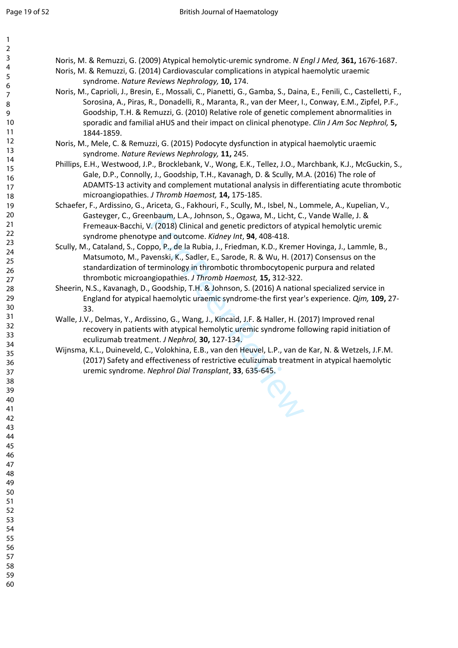$\mathbf{1}$ 

60

Noris, M. & Remuzzi, G. (2009) Atypical hemolytic-uremic syndrome. *N Engl J Med,* **361,** 1676-1687.

- Noris, M. & Remuzzi, G. (2014) Cardiovascular complications in atypical haemolytic uraemic syndrome. *Nature Reviews Nephrology,* **10,** 174.
- Noris, M., Caprioli, J., Bresin, E., Mossali, C., Pianetti, G., Gamba, S., Daina, E., Fenili, C., Castelletti, F., Sorosina, A., Piras, R., Donadelli, R., Maranta, R., van der Meer, I., Conway, E.M., Zipfel, P.F., Goodship, T.H. & Remuzzi, G. (2010) Relative role of genetic complement abnormalities in sporadic and familial aHUS and their impact on clinical phenotype. *Clin J Am Soc Nephrol,* **5,**  1844-1859.
- Noris, M., Mele, C. & Remuzzi, G. (2015) Podocyte dysfunction in atypical haemolytic uraemic syndrome. *Nature Reviews Nephrology,* **11,** 245.
- Phillips, E.H., Westwood, J.P., Brocklebank, V., Wong, E.K., Tellez, J.O., Marchbank, K.J., McGuckin, S., Gale, D.P., Connolly, J., Goodship, T.H., Kavanagh, D. & Scully, M.A. (2016) The role of ADAMTS-13 activity and complement mutational analysis in differentiating acute thrombotic microangiopathies. *J Thromb Haemost,* **14,** 175-185.
- Schaefer, F., Ardissino, G., Ariceta, G., Fakhouri, F., Scully, M., Isbel, N., Lommele, A., Kupelian, V., Gasteyger, C., Greenbaum, L.A., Johnson, S., Ogawa, M., Licht, C., Vande Walle, J. & Fremeaux-Bacchi, V. (2018) Clinical and genetic predictors of atypical hemolytic uremic syndrome phenotype and outcome. *Kidney Int*, **94**, 408-418.
- nbaum, L.A., Johnson, S., Ogawa, M., Licht, C.<br>
1. (2018) Clinical and genetic predictors of aty<br>
pe and outcome. *Kidney Int*, **94**, 408-418.<br>
ppo, P., de la Rubia, J., Friedman, K.D., Kremer<br>
venski, K., Sadler, E., Saro Scully, M., Cataland, S., Coppo, P., de la Rubia, J., Friedman, K.D., Kremer Hovinga, J., Lammle, B., Matsumoto, M., Pavenski, K., Sadler, E., Sarode, R. & Wu, H. (2017) Consensus on the standardization of terminology in thrombotic thrombocytopenic purpura and related thrombotic microangiopathies. *J Thromb Haemost,* **15,** 312-322.
- Sheerin, N.S., Kavanagh, D., Goodship, T.H. & Johnson, S. (2016) A national specialized service in England for atypical haemolytic uraemic syndrome-the first year's experience. *Qjm,* **109,** 27- 33.
- Walle, J.V., Delmas, Y., Ardissino, G., Wang, J., Kincaid, J.F. & Haller, H. (2017) Improved renal recovery in patients with atypical hemolytic uremic syndrome following rapid initiation of eculizumab treatment. *J Nephrol,* **30,** 127-134.
- Wijnsma, K.L., Duineveld, C., Volokhina, E.B., van den Heuvel, L.P., van de Kar, N. & Wetzels, J.F.M. (2017) Safety and effectiveness of restrictive eculizumab treatment in atypical haemolytic uremic syndrome. *Nephrol Dial Transplant*, **33**, 635-645.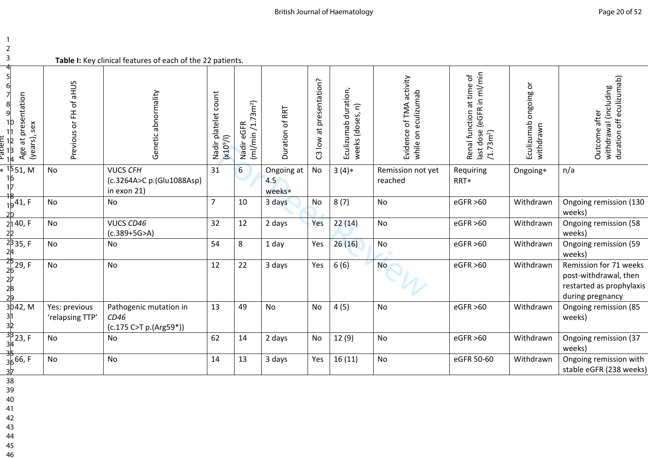| Table I: Key clinical features of each of the 22 patients. |  |  |
|------------------------------------------------------------|--|--|
|                                                            |  |  |

| <b>SCHHE</b><br>$\mathfrak{b}$<br>준<br>ð<br>Previous | Genetic abnormality                                         | count<br>Nadir platelet<br>(1/601x) | 3m <sup>2</sup><br>(m/min/1.7)<br>Nadir eGFR | Duration of RRT             | presentation?<br>$\vec{a}$<br>C3 low | Eculizumab duration,<br>weeks (doses, n) | activity<br>eculizumab<br>of TMA<br>Evidence<br>while on | last dose (eGFR in ml/min<br>Renal function at time of<br>3m <sup>2</sup><br>/1.7 | $\overline{5}$<br>guioguo<br>Eculizumab<br>withdrawn | duration off eculizumab)<br>withdrawal (including<br>Outcome after                              |
|------------------------------------------------------|-------------------------------------------------------------|-------------------------------------|----------------------------------------------|-----------------------------|--------------------------------------|------------------------------------------|----------------------------------------------------------|-----------------------------------------------------------------------------------|------------------------------------------------------|-------------------------------------------------------------------------------------------------|
| No                                                   | <b>VUCS CFH</b><br>(c.3264A>C p.(Glu1088Asp)<br>in exon 21) | 31                                  | $6\overline{6}$                              | Ongoing at<br>4.5<br>weeks* | No                                   | $3(4)*$                                  | Remission not yet<br>reached                             | Requiring<br>RRT*                                                                 | Ongoing*                                             | n/a                                                                                             |
| <b>No</b>                                            | <b>No</b>                                                   | $\overline{7}$                      | 10                                           | 3 days                      | No                                   | 8(7)                                     | <b>No</b>                                                | eGFR >60                                                                          | Withdrawn                                            | Ongoing remission (130<br>weeks)                                                                |
| No                                                   | VUCS CD46<br>$(c.389+5G> A)$                                | 32                                  | 12                                           | 2 days                      | Yes                                  | 22(14)                                   | No                                                       | eGFR >60                                                                          | Withdrawn                                            | Ongoing remission (58<br>weeks)                                                                 |
| No                                                   | No                                                          | 54                                  | 8                                            | 1 day                       | Yes                                  | 26(16)                                   | No                                                       | eGFR >60                                                                          | Withdrawn                                            | Ongoing remission (59<br>weeks)                                                                 |
| <b>No</b>                                            | <b>No</b>                                                   | 12                                  | 22                                           | 3 days                      | Yes                                  | 6(6)                                     | No.                                                      | eGFR >60                                                                          | Withdrawn                                            | Remission for 71 weeks<br>post-withdrawal, then<br>restarted as prophylaxis<br>during pregnancy |
| Yes: previous<br>'relapsing TTP'                     | Pathogenic mutation in<br>CD46<br>$(c.175 C>T p.(Arg59*))$  | 13                                  | 49                                           | No                          | No                                   | 4(5)                                     | No                                                       | eGFR >60                                                                          | Withdrawn                                            | Ongoing remission (85<br>weeks)                                                                 |
| No                                                   | No                                                          | 62                                  | 14                                           | 2 days                      | No                                   | 12(9)                                    | No                                                       | eGFR >60                                                                          | Withdrawn                                            | Ongoing remission (37<br>weeks)                                                                 |
| No                                                   | <b>No</b>                                                   | 14                                  | 13                                           | 3 days                      | Yes                                  | 16(11)                                   | <b>No</b>                                                | eGFR 50-60                                                                        | Withdrawn                                            | Ongoing remission with<br>stable eGFR (238 weeks)                                               |
|                                                      |                                                             |                                     |                                              |                             |                                      |                                          |                                                          |                                                                                   |                                                      |                                                                                                 |

1 2 3

40

41

42

43

44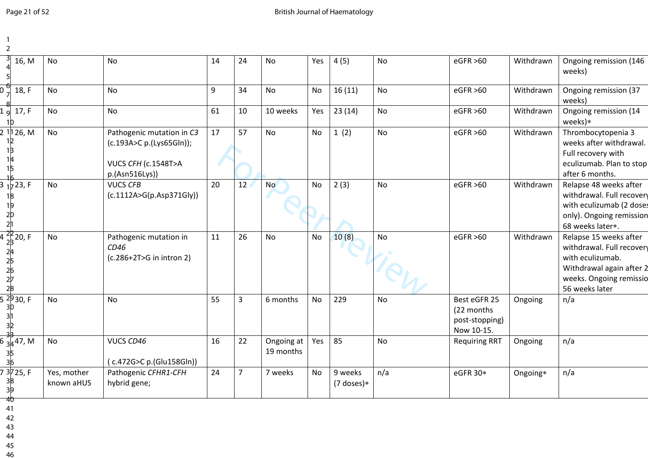# Page 21 of 52 British Journal of Haematology

1 2

| $\lceil 3 \rceil$                                           | 16, M                  | No                        | <b>No</b>                                                                                      | 14 | 24             | No                      | Yes       | 4(5)                       | No        | eGFR >60                                                   | Withdrawn | Ongoing remission (146<br>weeks)                                                                                                                 |
|-------------------------------------------------------------|------------------------|---------------------------|------------------------------------------------------------------------------------------------|----|----------------|-------------------------|-----------|----------------------------|-----------|------------------------------------------------------------|-----------|--------------------------------------------------------------------------------------------------------------------------------------------------|
|                                                             | 18, F                  | <b>No</b>                 | <b>No</b>                                                                                      | 9  | 34             | <b>No</b>               | No        | 16(11)                     | No        | eGFR >60                                                   | Withdrawn | Ongoing remission (37<br>weeks)                                                                                                                  |
| $1 \mathsf{q}$<br>-10                                       | 17, F                  | No                        | <b>No</b>                                                                                      | 61 | 10             | 10 weeks                | Yes       | 23(14)                     | No        | eGFR >60                                                   | Withdrawn | Ongoing remission (14<br>weeks)*                                                                                                                 |
| 12<br>$1\overline{3}$<br>14<br>-15                          | 2 <sup>1</sup> 26, M   | <b>No</b>                 | Pathogenic mutation in C3<br>(c.193A>C p.(Lys65Gln));<br>VUCS CFH (c.1548T>A<br>p.(Asn516Lys)) | 17 | 57             | No                      | No        | 1(2)                       | <b>No</b> | eGFR >60                                                   | Withdrawn | Thrombocytopenia 3<br>weeks after withdrawal.<br>Full recovery with<br>eculizumab. Plan to stop<br>after 6 months.                               |
| 18<br>$\frac{19}{20}$<br>20<br>21                           | $\overline{3}$ 1723, F | <b>No</b>                 | <b>VUCS CFB</b><br>(c.1112A>G(p.Asp371Gly))                                                    | 20 | 12             | <b>No</b>               | No        | 2(3)                       | No        | eGFR >60                                                   | Withdrawn | Relapse 48 weeks after<br>withdrawal. Full recovery<br>with eculizumab (2 doses<br>only). Ongoing remission<br>68 weeks later*.                  |
| 24<br>25<br>26<br>27<br>28                                  | $4\frac{22}{2}$ 20, F  | No                        | Pathogenic mutation in<br>CD46<br>$(c.286+2T>G)$ in intron 2)                                  | 11 | 26             | No                      | No        | 10(8)                      | <b>No</b> | eGFR >60                                                   | Withdrawn | Relapse 15 weeks after<br>withdrawal. Full recovery<br>with eculizumab.<br>Withdrawal again after 2<br>weeks. Ongoing remissio<br>56 weeks later |
| $\begin{array}{c}\n30 \\ 31\n\end{array}$<br>3 <sup>2</sup> | $5^{29}30, F$          | <b>No</b>                 | <b>No</b>                                                                                      | 55 | $\overline{3}$ | 6 months                | <b>No</b> | 229                        | No        | Best eGFR 25<br>(22 months<br>post-stopping)<br>Now 10-15. | Ongoing   | n/a                                                                                                                                              |
| 35<br>36                                                    |                        | <b>No</b>                 | VUCS CD46<br>(c.472G>C p.(Glu158Gln))                                                          | 16 | 22             | Ongoing at<br>19 months | Yes       | 85                         | No        | <b>Requiring RRT</b>                                       | Ongoing   | n/a                                                                                                                                              |
| 38<br>-3 <sub>p</sub>                                       | 73725, F               | Yes, mother<br>known aHUS | Pathogenic CFHR1-CFH<br>hybrid gene;                                                           | 24 | $\overline{7}$ | 7 weeks                 | No        | 9 weeks<br>$(7$ doses) $*$ | n/a       | eGFR 30*                                                   | Ongoing*  | n/a                                                                                                                                              |
|                                                             |                        |                           |                                                                                                |    |                |                         |           |                            |           |                                                            |           |                                                                                                                                                  |

41

42

43

44 45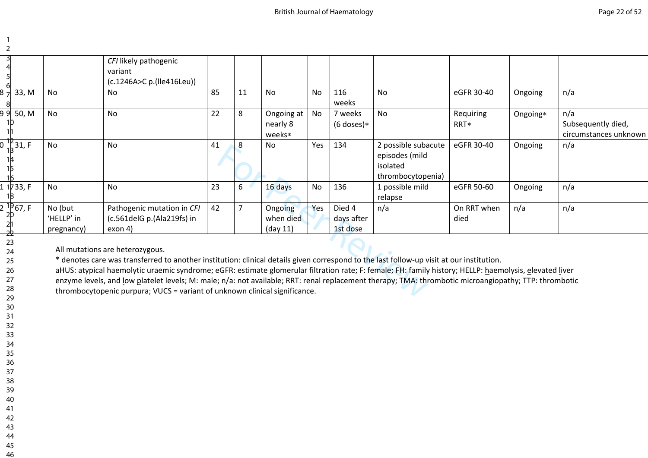|                                     | CFI likely pathogenic<br>variant                                          |                                 |    |                                  |           |                                                                            |                                                                        |                     |                                                                                                                                          |                                                                                                                                                                                                                                                                                                                  |
|-------------------------------------|---------------------------------------------------------------------------|---------------------------------|----|----------------------------------|-----------|----------------------------------------------------------------------------|------------------------------------------------------------------------|---------------------|------------------------------------------------------------------------------------------------------------------------------------------|------------------------------------------------------------------------------------------------------------------------------------------------------------------------------------------------------------------------------------------------------------------------------------------------------------------|
|                                     | (c.1246A>C p.(lle416Leu))                                                 |                                 |    |                                  |           |                                                                            |                                                                        |                     |                                                                                                                                          |                                                                                                                                                                                                                                                                                                                  |
| <b>No</b>                           | No.                                                                       | 85                              | 11 | <b>No</b>                        | <b>No</b> | 116<br>weeks                                                               | <b>No</b>                                                              | eGFR 30-40          | Ongoing                                                                                                                                  | n/a                                                                                                                                                                                                                                                                                                              |
| <b>No</b>                           | <b>No</b>                                                                 | 22                              | 8  | Ongoing at<br>nearly 8<br>weeks* | No        | 7 weeks<br>$(6$ doses) $*$                                                 | <b>No</b>                                                              | Requiring<br>RRT*   | Ongoing*                                                                                                                                 | n/a<br>Subsequently died,<br>circumstances unknown                                                                                                                                                                                                                                                               |
| <b>No</b>                           | <b>No</b>                                                                 | 41                              | 8  | No.                              | Yes       | 134                                                                        | 2 possible subacute<br>episodes (mild<br>isolated<br>thrombocytopenia) | eGFR 30-40          | Ongoing                                                                                                                                  | n/a                                                                                                                                                                                                                                                                                                              |
| <b>No</b>                           | <b>No</b>                                                                 | 23                              | 6  | 16 days                          | No        | 136                                                                        | 1 possible mild<br>relapse                                             | eGFR 50-60          | Ongoing                                                                                                                                  | n/a                                                                                                                                                                                                                                                                                                              |
| No (but<br>'HELLP' in<br>pregnancy) | Pathogenic mutation in CFI<br>$(c.561$ delG p. $(Ala219fs)$ in<br>exon 4) | 42                              |    | Ongoing<br>when died<br>(day 11) | Yes       | Died 4<br>days after<br>1st dose                                           | n/a                                                                    | On RRT when<br>died | n/a                                                                                                                                      | n/a                                                                                                                                                                                                                                                                                                              |
|                                     |                                                                           |                                 |    |                                  |           |                                                                            |                                                                        |                     |                                                                                                                                          |                                                                                                                                                                                                                                                                                                                  |
|                                     |                                                                           | All mutations are heterozygous. |    |                                  |           | thrombocytopenic purpura; VUCS = variant of unknown clinical significance. |                                                                        |                     | * denotes care was transferred to another institution: clinical details given correspond to the last follow-up visit at our institution. | aHUS: atypical haemolytic uraemic syndrome; eGFR: estimate glomerular filtration rate; F: female; FH: family history; HELLP: haemolysis, elevated liver<br>enzyme levels, and low platelet levels; M: male; n/a: not available; RRT: renal replacement therapy; TMA: thrombotic microangiopathy; TTP: thrombotic |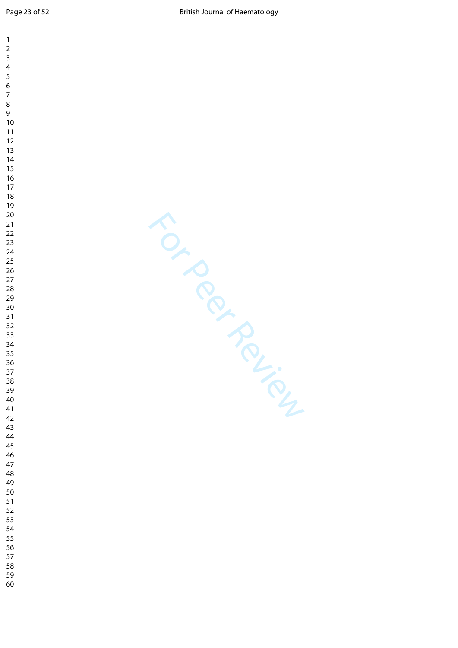For Perincent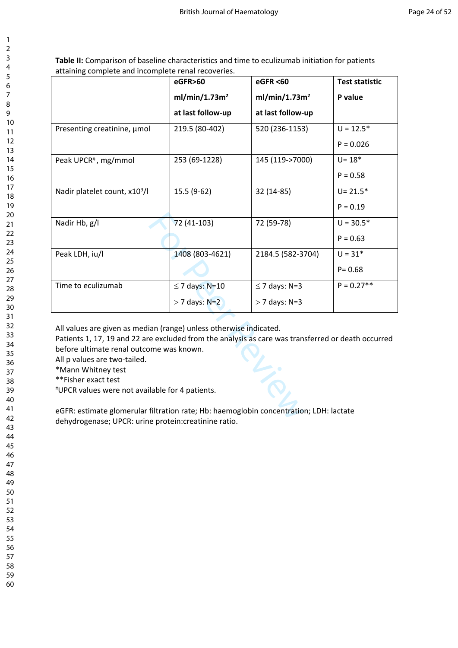**Table II:** Comparison of baseline characteristics and time to eculizumab initiation for patients attaining complete and incomplete renal recoveries.

|                                                                                                                                                                                                                                                                                                                                                      | eGFR>60                   | eGFR <60                  | <b>Test statistic</b> |  |  |  |  |  |  |
|------------------------------------------------------------------------------------------------------------------------------------------------------------------------------------------------------------------------------------------------------------------------------------------------------------------------------------------------------|---------------------------|---------------------------|-----------------------|--|--|--|--|--|--|
|                                                                                                                                                                                                                                                                                                                                                      | ml/min/1.73m <sup>2</sup> | ml/min/1.73m <sup>2</sup> | P value               |  |  |  |  |  |  |
|                                                                                                                                                                                                                                                                                                                                                      | at last follow-up         | at last follow-up         |                       |  |  |  |  |  |  |
| Presenting creatinine, µmol                                                                                                                                                                                                                                                                                                                          | 219.5 (80-402)            | 520 (236-1153)            | $U = 12.5*$           |  |  |  |  |  |  |
|                                                                                                                                                                                                                                                                                                                                                      |                           |                           | $P = 0.026$           |  |  |  |  |  |  |
| Peak UPCR <sup>#</sup> , mg/mmol                                                                                                                                                                                                                                                                                                                     | 253 (69-1228)             | 145 (119->7000)           | $U = 18*$             |  |  |  |  |  |  |
|                                                                                                                                                                                                                                                                                                                                                      |                           |                           | $P = 0.58$            |  |  |  |  |  |  |
| Nadir platelet count, x10 <sup>9</sup> /l                                                                                                                                                                                                                                                                                                            | 15.5 (9-62)               | 32 (14-85)                | $U = 21.5*$           |  |  |  |  |  |  |
|                                                                                                                                                                                                                                                                                                                                                      |                           |                           | $P = 0.19$            |  |  |  |  |  |  |
| Nadir Hb, g/l                                                                                                                                                                                                                                                                                                                                        | 72 (41-103)               | 72 (59-78)                | $U = 30.5*$           |  |  |  |  |  |  |
|                                                                                                                                                                                                                                                                                                                                                      |                           |                           | $P = 0.63$            |  |  |  |  |  |  |
| Peak LDH, iu/l                                                                                                                                                                                                                                                                                                                                       | 1408 (803-4621)           | 2184.5 (582-3704)         | $U = 31*$             |  |  |  |  |  |  |
|                                                                                                                                                                                                                                                                                                                                                      |                           |                           | $P = 0.68$            |  |  |  |  |  |  |
| Time to eculizumab                                                                                                                                                                                                                                                                                                                                   | $\leq$ 7 days: N=10       | $\leq$ 7 days: N=3        | $P = 0.27$ **         |  |  |  |  |  |  |
|                                                                                                                                                                                                                                                                                                                                                      | $>$ 7 days: N=2           | $>$ 7 days: N=3           |                       |  |  |  |  |  |  |
| All values are given as median (range) unless otherwise indicated.<br>Patients 1, 17, 19 and 22 are excluded from the analysis as care was transferred or death occurred<br>before ultimate renal outcome was known.<br>All p values are two-tailed.<br>*Mann Whitney test<br>**Fisher exact test<br>#UPCR values were not available for 4 patients. |                           |                           |                       |  |  |  |  |  |  |
| eGFR: estimate glomerular filtration rate; Hb: haemoglobin concentration; LDH: lactate<br>debydrogenase: LIDCP: urine protein:creatinine ratio                                                                                                                                                                                                       |                           |                           |                       |  |  |  |  |  |  |

eGFR: estimate glomerular filtration rate; Hb: haemoglobin concentration; LDH: lactate dehydrogenase; UPCR: urine protein:creatinine ratio.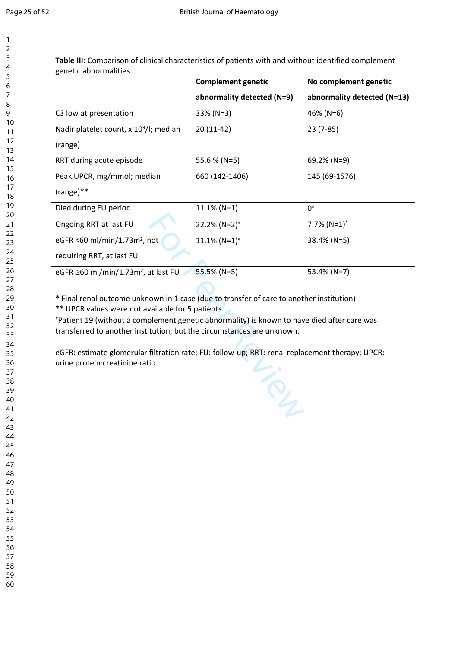$\mathbf{1}$ 

**Table III:** Comparison of clinical characteristics of patients with and without identified complement genetic abnormalities.

|                                                                                                                                                                                                                                                                                                                        | <b>Complement genetic</b>  | No complement genetic       |  |  |  |  |  |  |  |
|------------------------------------------------------------------------------------------------------------------------------------------------------------------------------------------------------------------------------------------------------------------------------------------------------------------------|----------------------------|-----------------------------|--|--|--|--|--|--|--|
|                                                                                                                                                                                                                                                                                                                        | abnormality detected (N=9) | abnormality detected (N=13) |  |  |  |  |  |  |  |
| C3 low at presentation                                                                                                                                                                                                                                                                                                 | 33% (N=3)                  | 46% (N=6)                   |  |  |  |  |  |  |  |
| Nadir platelet count, x 10 <sup>9</sup> /l; median                                                                                                                                                                                                                                                                     | $20(11-42)$                | 23 (7-85)                   |  |  |  |  |  |  |  |
| (range)                                                                                                                                                                                                                                                                                                                |                            |                             |  |  |  |  |  |  |  |
| RRT during acute episode                                                                                                                                                                                                                                                                                               | 55.6 % (N=5)               | 69.2% (N=9)                 |  |  |  |  |  |  |  |
| Peak UPCR, mg/mmol; median                                                                                                                                                                                                                                                                                             | 660 (142-1406)             | 145 (69-1576)               |  |  |  |  |  |  |  |
| $(range)**$                                                                                                                                                                                                                                                                                                            |                            |                             |  |  |  |  |  |  |  |
| Died during FU period                                                                                                                                                                                                                                                                                                  | $11.1\% (N=1)$             | $0^{\#}$                    |  |  |  |  |  |  |  |
| Ongoing RRT at last FU                                                                                                                                                                                                                                                                                                 | 22.2% (N=2)*               | 7.7% $(N=1)^*$              |  |  |  |  |  |  |  |
| eGFR <60 ml/min/1.73m <sup>2</sup> , not                                                                                                                                                                                                                                                                               | $11.1\%$ (N=1)*            | 38.4% (N=5)                 |  |  |  |  |  |  |  |
| requiring RRT, at last FU                                                                                                                                                                                                                                                                                              |                            |                             |  |  |  |  |  |  |  |
| eGFR ≥60 ml/min/1.73m <sup>2</sup> , at last FU                                                                                                                                                                                                                                                                        | 55.5% (N=5)                | 53.4% (N=7)                 |  |  |  |  |  |  |  |
| * Final renal outcome unknown in 1 case (due to transfer of care to another institution)<br>** UPCR values were not available for 5 patients.<br>#Patient 19 (without a complement genetic abnormality) is known to have died after care was<br>transferred to another institution, but the circumstances are unknown. |                            |                             |  |  |  |  |  |  |  |
| eGFR: estimate glomerular filtration rate; FU: follow-up; RRT: renal replacement therapy; UPCR:<br>urine protein: creatinine ratio.<br>TON.                                                                                                                                                                            |                            |                             |  |  |  |  |  |  |  |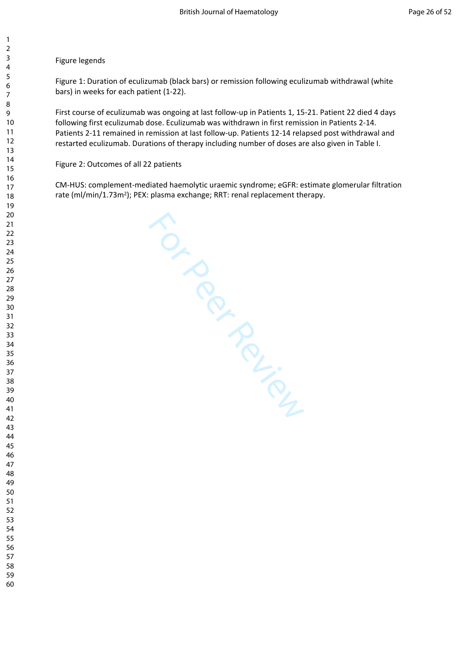# Figure legends

Figure 1: Duration of eculizumab (black bars) or remission following eculizumab withdrawal (white bars) in weeks for each patient (1-22).

First course of eculizumab was ongoing at last follow-up in Patients 1, 15-21. Patient 22 died 4 days following first eculizumab dose. Eculizumab was withdrawn in first remission in Patients 2-14. Patients 2-11 remained in remission at last follow-up. Patients 12-14 relapsed post withdrawal and restarted eculizumab. Durations of therapy including number of doses are also given in Table I.

Figure 2: Outcomes of all 22 patients

CM-HUS: complement-mediated haemolytic uraemic syndrome; eGFR: estimate glomerular filtration rate (ml/min/1.73m<sup>2</sup>); PEX: plasma exchange; RRT: renal replacement therapy.

For Per Review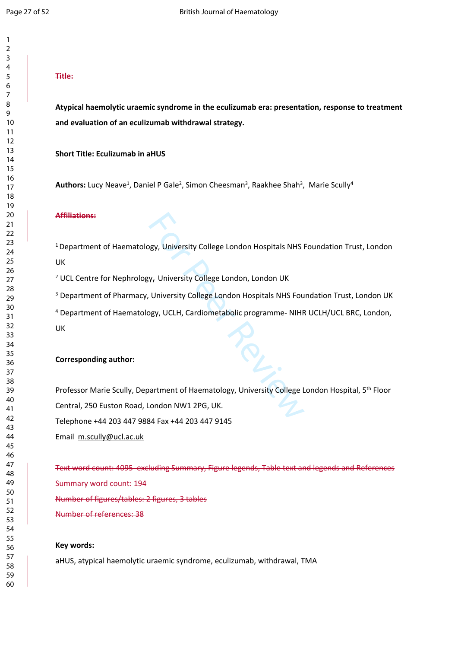## **Title:**

**Atypical haemolytic uraemic syndrome in the eculizumab era: presentation, response to treatment and evaluation of an eculizumab withdrawal strategy.** 

**Short Title: Eculizumab in aHUS**

Authors: Lucy Neave<sup>1</sup>, Daniel P Gale<sup>2</sup>, Simon Cheesman<sup>3</sup>, Raakhee Shah<sup>3</sup>, Marie Scully<sup>4</sup>

### **Affiliations:**

<sup>1</sup> Department of Haematology, University College London Hospitals NHS Foundation Trust, London UK

<sup>2</sup> UCL Centre for Nephrology, University College London, London UK

<sup>3</sup> Department of Pharmacy, University College London Hospitals NHS Foundation Trust, London UK

Department of Haematology, UCLH, Cardiometabolic programme- NIHR UCLH/UCL BRC, London,

UK

## **Corresponding author:**

Sachington Hospitals NHS<br>
Sachia College London, London UK<br>
University College London, London UK<br>
University College London Hospitals NHS<br>
For PHIP<br>
Sachia College London NW1 2PG, UK.<br>
The PHIP Sachi College London NW1 2PG Professor Marie Scully, Department of Haematology, University College London Hospital, 5th Floor Central, 250 Euston Road, London NW1 2PG, UK. Telephone +44 203 447 9884 Fax +44 203 447 9145 Email [m.scully@ucl.ac.uk](mailto:Marie.Scully@uclh.nhs.uk)

Text word count: 4095 excluding Summary, Figure legends, Table text and legends and References Summary word count: 194 Number of figures/tables: 2 figures, 3 tables Number of references: 38

### **Key words:**

aHUS, atypical haemolytic uraemic syndrome, eculizumab, withdrawal, TMA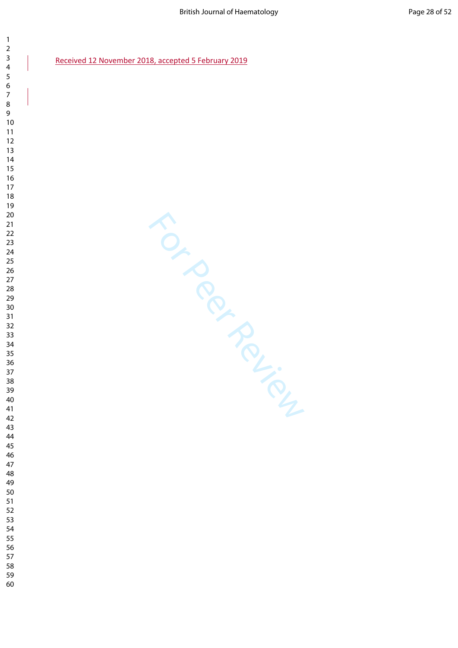Received 12 November 2018, accepted 5 February 2019

For Perince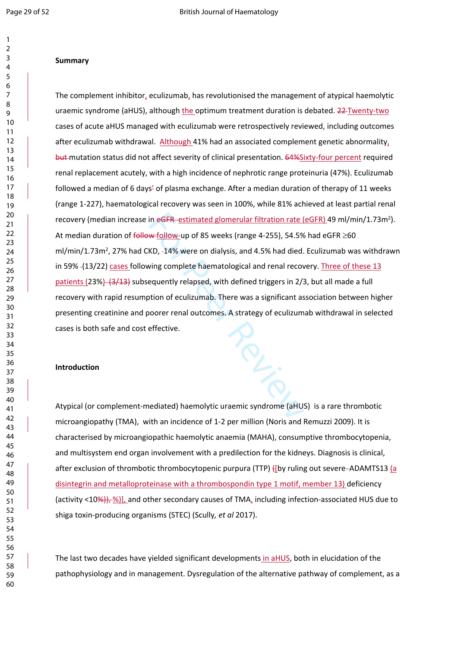### **Summary**

in eGFR-estimated glomerular filtration rate (<br>
w-follow-up of 85 weeks (range 4-255), 54.5%<br>
KD, -14% were on dialysis, and 4.5% had died.<br>
ving complete haematological and renal recov<br>
equently relapsed, with defined tri The complement inhibitor, eculizumab, has revolutionised the management of atypical haemolytic uraemic syndrome (aHUS), although the optimum treatment duration is debated. 22-Twenty-two cases of acute aHUS managed with eculizumab were retrospectively reviewed, including outcomes after eculizumab withdrawal. Although 41% had an associated complement genetic abnormality, but mutation status did not affect severity of clinical presentation. 64%Sixty-four percent required renal replacement acutely, with a high incidence of nephrotic range proteinuria (47%). Eculizumab followed a median of 6 days<sup>2</sup> of plasma exchange. After a median duration of therapy of 11 weeks (range 1-227), haematological recovery was seen in 100%, while 81% achieved at least partial renal recovery (median increase in eGFR-estimated glomerular filtration rate (eGFR) 49 ml/min/1.73m<sup>2</sup>). At median duration of follow-follow-up of 85 weeks (range 4-255), 54.5% had eGFR ≥60 ml/min/1.73m<sup>2</sup>, 27% had CKD, -14% were on dialysis, and 4.5% had died. Eculizumab was withdrawn in 59% (13/22) cases following complete haematological and renal recovery. Three of these 13 patients (23%) (3/13) subsequently relapsed, with defined triggers in 2/3, but all made a full recovery with rapid resumption of eculizumab. There was a significant association between higher presenting creatinine and poorer renal outcomes. A strategy of eculizumab withdrawal in selected cases is both safe and cost effective.

### **Introduction**

Atypical (or complement-mediated) haemolytic uraemic syndrome (aHUS) is a rare thrombotic microangiopathy (TMA), with an incidence of 1-2 per million (Noris and Remuzzi 2009). It is characterised by microangiopathic haemolytic anaemia (MAHA), consumptive thrombocytopenia, and multisystem end organ involvement with a predilection for the kidneys. Diagnosis is clinical, after exclusion of thrombotic thrombocytopenic purpura (TTP) ([by ruling out severe-ADAMTS13 (a disintegrin and metalloproteinase with a thrombospondin type 1 motif, member 13) deficiency (activity <10%), 8)], and other secondary causes of TMA, including infection-associated HUS due to shiga toxin-producing organisms (STEC) (Scully*, et al* 2017).

The last two decades have yielded significant developments in aHUS, both in elucidation of the pathophysiology and in management. Dysregulation of the alternative pathway of complement, as a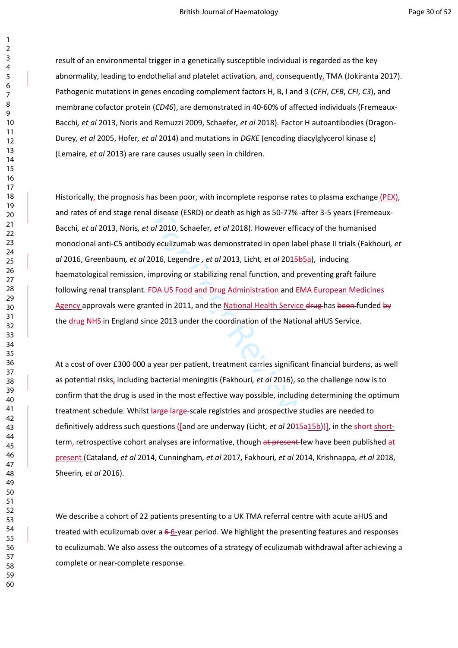result of an environmental trigger in a genetically susceptible individual is regarded as the key abnormality, leading to endothelial and platelet activation, and, consequently, TMA (Jokiranta 2017). Pathogenic mutations in genes encoding complement factors H, B, I and 3 (*CFH*, *CFB*, *CFI*, *C3*), and membrane cofactor protein (*CD46*), are demonstrated in 40-60% of affected individuals (Fremeaux-Bacchi*, et al* 2013, Noris and Remuzzi 2009, Schaefer*, et al* 2018). Factor H autoantibodies (Dragon-Durey*, et al* 2005, Hofer*, et al* 2014) and mutations in *DGKE* (encoding diacylglycerol kinase ɛ) (Lemaire*, et al* 2013) are rare causes usually seen in children.

I disease (ESRD) or death as high as 50-77%-a<br>
cal 2010, Schaefer, et al 2018). However effica<br>
dy eculizumab was demonstrated in open labe<br>
2016, Legendre, et al 2013, Licht, et al 2015b<sup>1</sup><br>
improving or stabilizing renal Historically, the prognosis has been poor, with incomplete response rates to plasma exchange (PEX), and rates of end stage renal disease (ESRD) or death as high as 50-77% after 3-5 years (Fremeaux-Bacchi*, et al* 2013, Noris*, et al* 2010, Schaefer*, et al* 2018). However efficacy of the humanised monoclonal anti-C5 antibody eculizumab was demonstrated in open label phase II trials (Fakhouri*, et al* 2016, Greenbaum*, et al* 2016, Legendre *, et al* 2013, Licht*, et al* 2015b5a), inducing haematological remission, improving or stabilizing renal function, and preventing graft failure following renal transplant. FDA-US Food and Drug Administration and EMA-European Medicines Agency approvals were granted in 2011, and the National Health Service drug has been funded by the drug NHS in England since 2013 under the coordination of the National aHUS Service.

At a cost of over £300 000 a year per patient, treatment carries significant financial burdens, as well as potential risks, including bacterial meningitis (Fakhouri*, et al* 2016), so the challenge now is to confirm that the drug is used in the most effective way possible, including determining the optimum treatment schedule. Whilst large-large-scale registries and prospective studies are needed to definitively address such questions ([and are underway (Licht, et al 20<del>15a</del>15b)}], in the short-shortterm, retrospective cohort analyses are informative, though at present few have been published at present (Cataland*, et al* 2014, Cunningham*, et al* 2017, Fakhouri*, et al* 2014, Krishnappa*, et al* 2018, Sheerin*, et al* 2016).

We describe a cohort of 22 patients presenting to a UK TMA referral centre with acute aHUS and treated with eculizumab over a  $6-6$ -year period. We highlight the presenting features and responses to eculizumab. We also assess the outcomes of a strategy of eculizumab withdrawal after achieving a complete or near-complete response.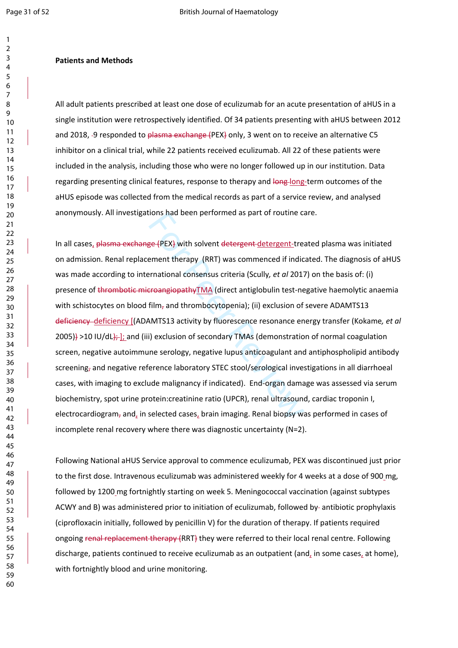### **Patients and Methods**

All adult patients prescribed at least one dose of eculizumab for an acute presentation of aHUS in a single institution were retrospectively identified. Of 34 patients presenting with aHUS between 2012 and 2018, -9 responded to plasma exchange (PEX) only, 3 went on to receive an alternative C5 inhibitor on a clinical trial, while 22 patients received eculizumab. All 22 of these patients were included in the analysis, including those who were no longer followed up in our institution. Data regarding presenting clinical features, response to therapy and long-long-term outcomes of the aHUS episode was collected from the medical records as part of a service review, and analysed anonymously. All investigations had been performed as part of routine care.

Formal dividend as part of routine clons and been performed as part of routine correct the correct the correct the<br>ement therapy (RRT) was commenced if indictronational consensus criteria (Scully, *et al 2011*<br>croangiopath In all cases, plasma exchange (PEX) with solvent detergent detergent-treated plasma was initiated on admission. Renal replacement therapy (RRT) was commenced if indicated. The diagnosis of aHUS was made according to international consensus criteria (Scully*, et al* 2017) on the basis of: (i) presence of thrombotic microangiopathyTMA (direct antiglobulin test-negative haemolytic anaemia with schistocytes on blood film, and thrombocytopenia); (ii) exclusion of severe ADAMTS13 deficiency deficiency [(ADAMTS13 activity by fluorescence resonance energy transfer (Kokame*, et al* 2005)} >10 IU/dL<sub>i</sub>; 1; and (iii) exclusion of secondary TMAs (demonstration of normal coagulation screen, negative autoimmune serology, negative lupus anticoagulant and antiphospholipid antibody screening, and negative reference laboratory STEC stool/serological investigations in all diarrhoeal cases, with imaging to exclude malignancy if indicated). End-organ damage was assessed via serum biochemistry, spot urine protein:creatinine ratio (UPCR), renal ultrasound, cardiac troponin I, electrocardiogram, and, in selected cases, brain imaging. Renal biopsy was performed in cases of incomplete renal recovery where there was diagnostic uncertainty (N=2).

Following National aHUS Service approval to commence eculizumab, PEX was discontinued just prior to the first dose. Intravenous eculizumab was administered weekly for 4 weeks at a dose of 900 mg, followed by 1200 mg fortnightly starting on week 5. Meningococcal vaccination (against subtypes ACWY and B) was administered prior to initiation of eculizumab, followed by-antibiotic prophylaxis (ciprofloxacin initially, followed by penicillin V) for the duration of therapy. If patients required ongoing renal replacement therapy (RRT) they were referred to their local renal centre. Following discharge, patients continued to receive eculizumab as an outpatient (and, in some cases, at home), with fortnightly blood and urine monitoring.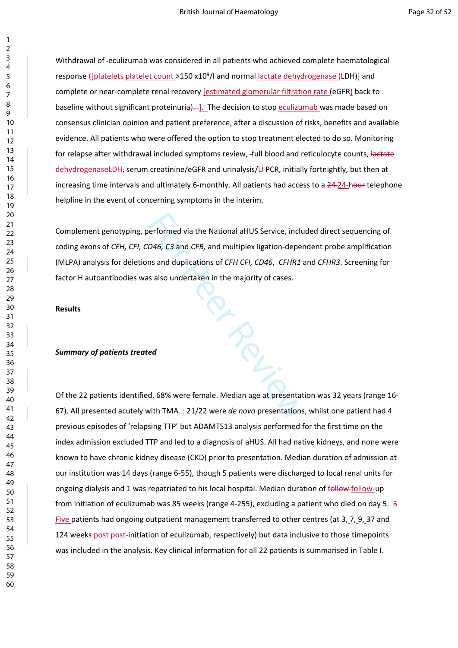Withdrawal of eculizumab was considered in all patients who achieved complete haematological response {[platelets-platelet count >150 x10<sup>9</sup>/l and normal lactate dehydrogenase (LDH)] and complete or near-complete renal recovery [estimated glomerular filtration rate (eGFR) back to baseline without significant proteinuria). ]. The decision to stop eculizumab was made based on consensus clinician opinion and patient preference, after a discussion of risks, benefits and available evidence. All patients who were offered the option to stop treatment elected to do so. Monitoring for relapse after withdrawal included symptoms review, -full blood and reticulocyte counts, lactate dehydrogenaseLDH, serum creatinine/eGFR and urinalysis/U PCR, initially fortnightly, but then at increasing time intervals and ultimately 6-monthly. All patients had access to a 24 24-hour telephone helpline in the event of concerning symptoms in the interim.

Complement genotyping, performed via the National aHUS Service, included direct sequencing of coding exons of *CFH, CFI, CD46, C3* and *CFB,* and multiplex ligation-dependent probe amplification (MLPA) analysis for deletions and duplications of *CFH CFI, CD46*, *CFHR1* and *CFHR3*. Screening for factor H autoantibodies was also undertaken in the majority of cases.

For Peer Review

#### **Results**

### *Summary of patients treated*

Of the 22 patients identified, 68% were female. Median age at presentation was 32 years (range 16- 67). All presented acutely with TMA. : 21/22 were *de novo* presentations, whilst one patient had 4 previous episodes of 'relapsing TTP' but ADAMTS13 analysis performed for the first time on the index admission excluded TTP and led to a diagnosis of aHUS. All had native kidneys, and none were known to have chronic kidney disease (CKD) prior to presentation. Median duration of admission at our institution was 14 days (range 6-55), though 5 patients were discharged to local renal units for ongoing dialysis and 1 was repatriated to his local hospital. Median duration of follow-up from initiation of eculizumab was 85 weeks (range 4-255), excluding a patient who died on day 5. 5 Five patients had ongoing outpatient management transferred to other centres (at 3, 7, 9, 37 and 124 weeks post-post-initiation of eculizumab, respectively) but data inclusive to those timepoints was included in the analysis. Key clinical information for all 22 patients is summarised in Table I.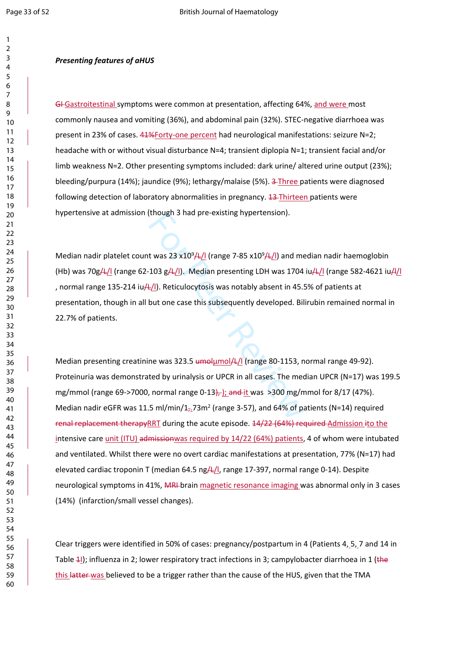### *Presenting features of aHUS*

GI Gastroitestinal symptoms were common at presentation, affecting 64%, and were most commonly nausea and vomiting (36%), and abdominal pain (32%). STEC-negative diarrhoea was present in 23% of cases. 41%Forty-one percent had neurological manifestations: seizure N=2; headache with or without visual disturbance N=4; transient diplopia N=1; transient facial and/or limb weakness N=2. Other presenting symptoms included: dark urine/ altered urine output (23%); bleeding/purpura (14%); jaundice (9%); lethargy/malaise (5%). 3-Three patients were diagnosed following detection of laboratory abnormalities in pregnancy. 13 Thirteen patients were hypertensive at admission (though 3 had pre-existing hypertension).

t was 23 x10<sup>9</sup>/<sup>L</sup>/L (range 7-85 x10<sup>9</sup>/<sup>L</sup>/L) and me<br>103 g/<sup>L</sup>/L). Median presenting LDH was 1704<br><sup>L</sup>/L). Reticulocytosis was notably absent in 45.5<br>but one case this subsequently developed. Bil<br>ne was 323.5 <del>umol<sub>/</sub>L</del>/ Median nadir platelet count was 23 x10<sup>9</sup>/ $\frac{L}{L}$  (range 7-85 x10<sup>9</sup>/ $\frac{L}{L}$ ) and median nadir haemoglobin (Hb) was 70g $/$ L/l (range 62-103 g $/$ L/l). Median presenting LDH was 1704 iu $/$ L/l (range 582-4621 iu $/$ l/l , normal range 135-214 iu $/$ L $/$ l). Reticulocytosis was notably absent in 45.5% of patients at presentation, though in all but one case this subsequently developed. Bilirubin remained normal in 22.7% of patients.

Median presenting creatinine was 323.5 umolumol/L/l (range 80-1153, normal range 49-92). Proteinuria was demonstrated by urinalysis or UPCR in all cases. The median UPCR (N=17) was 199.5 mg/mmol (range 69->7000, normal range 0-13), ); and it was  $>$ 300 mg/mmol for 8/17 (47%). Median nadir eGFR was 11.5 ml/min/1 $_{7.2}$ 73m<sup>2</sup> (range 3-57), and 64% of patients (N=14) required renal replacement therapyRRT during the acute episode. 14/22 (64%) required Admission ito the intensive care unit (ITU) admissionwas required by 14/22 (64%) patients, 4 of whom were intubated and ventilated. Whilst there were no overt cardiac manifestations at presentation, 77% (N=17) had elevated cardiac troponin T (median 64.5 ng $/$ L/l, range 17-397, normal range 0-14). Despite neurological symptoms in 41%, MRI-brain magnetic resonance imaging was abnormal only in 3 cases (14%) (infarction/small vessel changes).

Clear triggers were identified in 50% of cases: pregnancy/postpartum in 4 (Patients 4, 5, 7 and 14 in Table  $\frac{1}{2}$ ); influenza in 2; lower respiratory tract infections in 3; campylobacter diarrhoea in 1 (the this latter was believed to be a trigger rather than the cause of the HUS, given that the TMA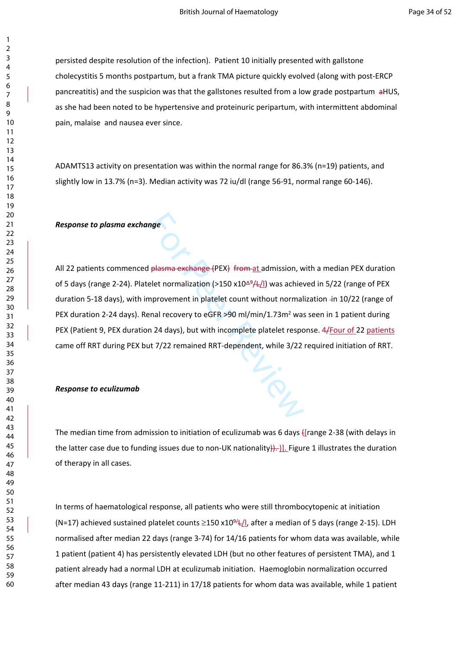persisted despite resolution of the infection). Patient 10 initially presented with gallstone cholecystitis 5 months postpartum, but a frank TMA picture quickly evolved (along with post-ERCP pancreatitis) and the suspicion was that the gallstones resulted from a low grade postpartum aHUS, as she had been noted to be hypertensive and proteinuric peripartum, with intermittent abdominal pain, malaise and nausea ever since.

ADAMTS13 activity on presentation was within the normal range for 86.3% (n=19) patients, and slightly low in 13.7% (n=3). Median activity was 72 iu/dl (range 56-91, normal range 60-146).

## *Response to plasma exchange*

manuson and plasma exchange (PEX) from at admission, we<br>bet normalization (>150 x10<sup>Δ9</sup>/<sup>L</sup>/l) was achieved mprovement in plate text count without normal<br>read recovery to eGFR >90 ml/min/1.73m<sup>2</sup> was<br>n 24 days), but with i All 22 patients commenced plasma exchange (PEX) from at admission, with a median PEX duration of 5 days (range 2-24). Platelet normalization (>150 x10<sup>^9</sup>/<sup>[1</sup>]) was achieved in 5/22 (range of PEX duration 5-18 days), with improvement in platelet count without normalization -in 10/22 (range of PEX duration 2-24 days). Renal recovery to eGFR >90 ml/min/1.73m<sup>2</sup> was seen in 1 patient during PEX (Patient 9, PEX duration 24 days), but with incomplete platelet response. 4/Four of 22 patients came off RRT during PEX but 7/22 remained RRT-dependent, while 3/22 required initiation of RRT.

#### *Response to eculizumab*

The median time from admission to initiation of eculizumab was 6 days ([range 2-38 (with delays in the latter case due to funding issues due to non-UK nationality)...)]. Figure 1 illustrates the duration of therapy in all cases.

In terms of haematological response, all patients who were still thrombocytopenic at initiation (N=17) achieved sustained platelet counts  $\geq$ 150 x10<sup>9/</sup>L/l, after a median of 5 days (range 2-15). LDH normalised after median 22 days (range 3-74) for 14/16 patients for whom data was available, while 1 patient (patient 4) has persistently elevated LDH (but no other features of persistent TMA), and 1 patient already had a normal LDH at eculizumab initiation. Haemoglobin normalization occurred after median 43 days (range 11-211) in 17/18 patients for whom data was available, while 1 patient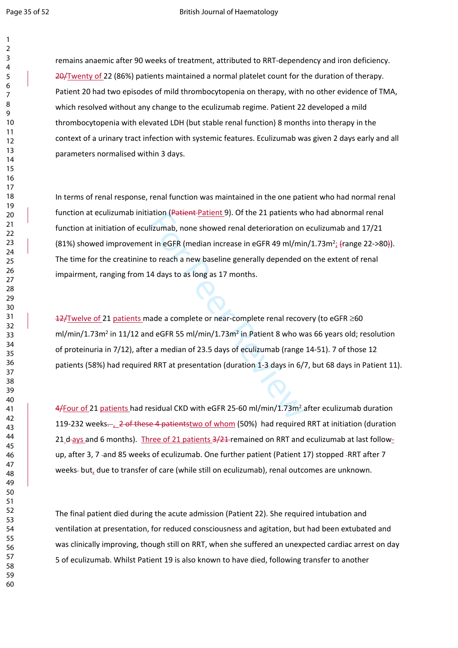$\mathbf{1}$ 

remains anaemic after 90 weeks of treatment, attributed to RRT-dependency and iron deficiency. 20/Twenty of 22 (86%) patients maintained a normal platelet count for the duration of therapy. Patient 20 had two episodes of mild thrombocytopenia on therapy, with no other evidence of TMA, which resolved without any change to the eculizumab regime. Patient 22 developed a mild thrombocytopenia with elevated LDH (but stable renal function) 8 months into therapy in the context of a urinary tract infection with systemic features. Eculizumab was given 2 days early and all parameters normalised within 3 days.

ation (<del>Patient Patient 9</del>). Of the 21 patients w<br>lizumab, none showed renal deterioration on<br>t in eGFR (median increase in eGFR 49 ml/mii<br>to reach a new baseline generally depended (<br>14 days to as long as 17 months.<br>aade In terms of renal response, renal function was maintained in the one patient who had normal renal function at eculizumab initiation (Patient-Patient 9). Of the 21 patients who had abnormal renal function at initiation of eculizumab, none showed renal deterioration on eculizumab and 17/21 (81%) showed improvement in eGFR (median increase in eGFR 49 ml/min/1.73m<sup>2</sup>; {range 22->80}). The time for the creatinine to reach a new baseline generally depended on the extent of renal impairment, ranging from 14 days to as long as 17 months.

12/Twelve of 21 patients made a complete or near-complete renal recovery (to eGFR ≥60 ml/min/1.73m<sup>2</sup> in 11/12 and eGFR 55 ml/min/1.73m<sup>2</sup> in Patient 8 who was 66 years old; resolution of proteinuria in 7/12), after a median of 23.5 days of eculizumab (range 14-51). 7 of those 12 patients (58%) had required RRT at presentation (duration 1-3 days in 6/7, but 68 days in Patient 11).

4/Four of 21 patients had residual CKD with eGFR 25-60 ml/min/1.73m<sup>2</sup> after eculizumab duration 119-232 weeks. 2- of these 4 patientstwo of whom (50%) had required RRT at initiation (duration 21<sub>-</sub>d-ays and 6 months). Three of 21 patients 3/21-remained on RRT and eculizumab at last followup, after 3, 7 -and 85 weeks of eculizumab. One further patient (Patient 17) stopped -RRT after 7 weeks- but, due to transfer of care (while still on eculizumab), renal outcomes are unknown.

The final patient died during the acute admission (Patient 22). She required intubation and ventilation at presentation, for reduced consciousness and agitation, but had been extubated and was clinically improving, though still on RRT, when she suffered an unexpected cardiac arrest on day 5 of eculizumab. Whilst Patient 19 is also known to have died, following transfer to another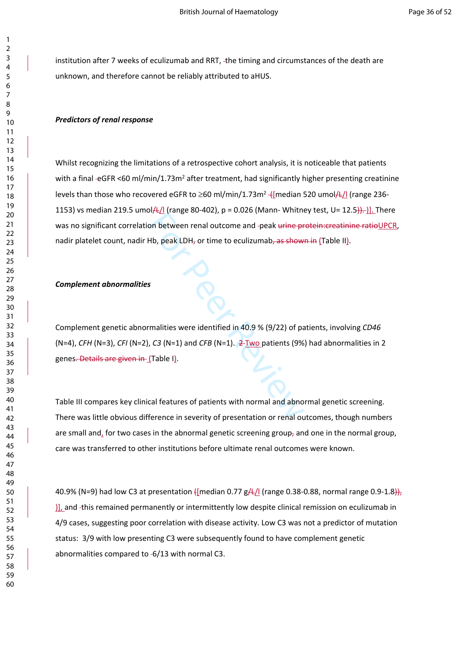institution after 7 weeks of eculizumab and RRT, the timing and circumstances of the death are unknown, and therefore cannot be reliably attributed to aHUS.

#### *Predictors of renal response*

Whilst recognizing the limitations of a retrospective cohort analysis, it is noticeable that patients with a final-eGFR <60 ml/min/1.73m<sup>2</sup> after treatment, had significantly higher presenting creatinine levels than those who recovered eGFR to ≥60 ml/min/1.73m<sup>2</sup> -{[median 520 umol<del>/L</del>/l (range 236-1153) vs median 219.5 umol $/L/$  (range 80-402), p = 0.026 (Mann- Whitney test, U= 12.5)). There was no significant correlation between renal outcome and -peak urine protein:creatinine ratioUPCR, nadir platelet count, nadir Hb, peak LDH<sub>7</sub> or time to eculizumab, as shown in (Table II).

### *Complement abnormalities*

on between renal outcome and -peak urine production between renal outcome and -peak urine production by the production of the production of the production of the production of the production of the production of the produc Complement genetic abnormalities were identified in 40.9 % (9/22) of patients, involving *CD46* (N=4), *CFH* (N=3), *CFI* (N=2), *C3* (N=1) and *CFB* (N=1). 2 Two patients (9%) had abnormalities in 2 genes. Details are given in (Table I).

Table III compares key clinical features of patients with normal and abnormal genetic screening. There was little obvious difference in severity of presentation or renal outcomes, though numbers are small and, for two cases in the abnormal genetic screening group, and one in the normal group, care was transferred to other institutions before ultimate renal outcomes were known.

40.9% (N=9) had low C3 at presentation  $\{\text{median } 0.77 \text{ g/L}\}/\{\text{range } 0.38-0.88\}$ , normal range 0.9-1.8), )], and -this remained permanently or intermittently low despite clinical remission on eculizumab in 4/9 cases, suggesting poor correlation with disease activity. Low C3 was not a predictor of mutation status: 3/9 with low presenting C3 were subsequently found to have complement genetic abnormalities compared to -6/13 with normal C3.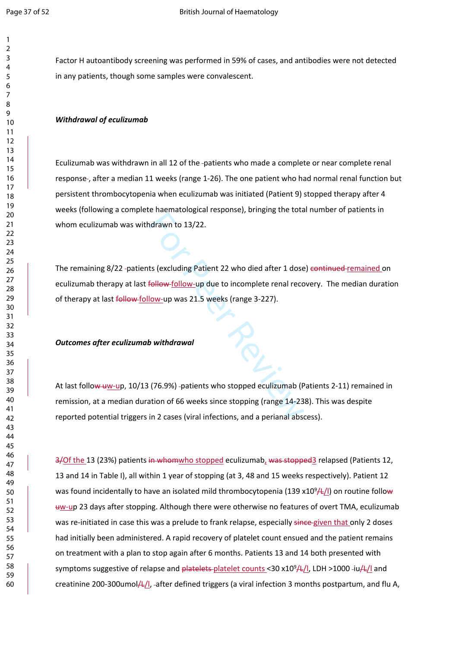Factor H autoantibody screening was performed in 59% of cases, and antibodies were not detected in any patients, though some samples were convalescent.

#### *Withdrawal of eculizumab*

Eculizumab was withdrawn in all 12 of the -patients who made a complete or near complete renal response , after a median 11 weeks (range 1-26). The one patient who had normal renal function but persistent thrombocytopenia when eculizumab was initiated (Patient 9) stopped therapy after 4 weeks (following a complete haematological response), bringing the total number of patients in whom eculizumab was withdrawn to 13/22.

ratanary.genter.per.er.per.er.per.g.n.gen.gen.er.com<br>drawn to 13/22.<br>ts (excluding Patient 22 who died after 1 dose<br>follow-follow-up due to incomplete renal recc<br>low-up was 21.5 weeks (range 3-227).<br>b<br>b withdrawal<br>(76.9%) The remaining 8/22 -patients (excluding Patient 22 who died after 1 dose) continued remained on eculizumab therapy at last follow-tollow-up due to incomplete renal recovery. The median duration of therapy at last follow-follow-up was 21.5 weeks (range 3-227).

### *Outcomes after eculizumab withdrawal*

At last follow uw-up, 10/13 (76.9%) -patients who stopped eculizumab (Patients 2-11) remained in remission, at a median duration of 66 weeks since stopping (range 14-238). This was despite reported potential triggers in 2 cases (viral infections, and a perianal abscess).

3/Of the 13 (23%) patients in whomwho stopped eculizumab, was stopped<sup>3</sup> relapsed (Patients 12, 13 and 14 in Table I), all within 1 year of stopping (at 3, 48 and 15 weeks respectively). Patient 12 was found incidentally to have an isolated mild thrombocytopenia (139 x10<sup>9</sup>/L/L) on routine follow uw-up 23 days after stopping. Although there were otherwise no features of overt TMA, eculizumab was re-initiated in case this was a prelude to frank relapse, especially since given that only 2 doses had initially been administered. A rapid recovery of platelet count ensued and the patient remains on treatment with a plan to stop again after 6 months. Patients 13 and 14 both presented with symptoms suggestive of relapse and <del>platelets platelet counts</del> <30 x10<sup>9</sup>/L/J, LDH >1000 -iu/L/L and creatinine 200-300umol/L/L, -after defined triggers (a viral infection 3 months postpartum, and flu A,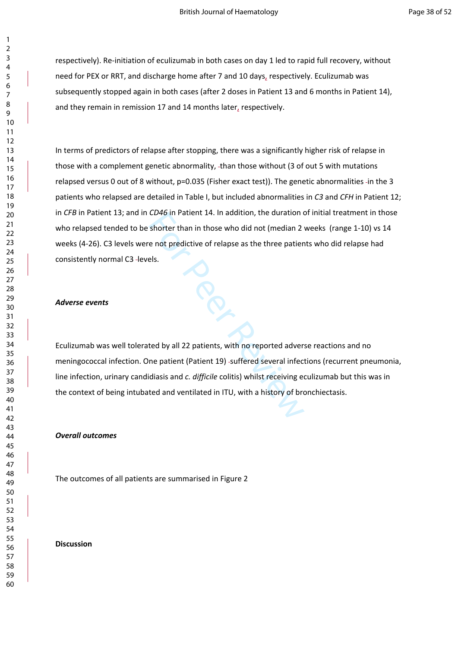respectively). Re-initiation of eculizumab in both cases on day 1 led to rapid full recovery, without need for PEX or RRT, and discharge home after 7 and 10 days, respectively. Eculizumab was subsequently stopped again in both cases (after 2 doses in Patient 13 and 6 months in Patient 14), and they remain in remission 17 and 14 months later, respectively.

In terms of predictors of relapse after stopping, there was a significantly higher risk of relapse in those with a complement genetic abnormality, than those without (3 of out 5 with mutations relapsed versus 0 out of 8 without, p=0.035 (Fisher exact test)). The genetic abnormalities -in the 3 patients who relapsed are detailed in Table I, but included abnormalities in *C3* and *CFH* in Patient 12; in *CFB* in Patient 13; and in *CD46* in Patient 14. In addition, the duration of initial treatment in those who relapsed tended to be shorter than in those who did not (median 2 weeks (range 1-10) vs 14 weeks (4-26). C3 levels were not predictive of relapse as the three patients who did relapse had consistently normal C3 levels.

#### *Adverse events*

CD46 In Patient 14. In addition, the duration of shorter than in those who did not (median 2<br>e not predictive of relapse as the three patientels.<br>els.<br>ted by all 22 patients, with no reported adverne patient (Patient 19) -Eculizumab was well tolerated by all 22 patients, with no reported adverse reactions and no meningococcal infection. One patient (Patient 19) -suffered several infections (recurrent pneumonia, line infection, urinary candidiasis and *c. difficile* colitis) whilst receiving eculizumab but this was in the context of being intubated and ventilated in ITU, with a history of bronchiectasis.

#### *Overall outcomes*

The outcomes of all patients are summarised in Figure 2

#### **Discussion**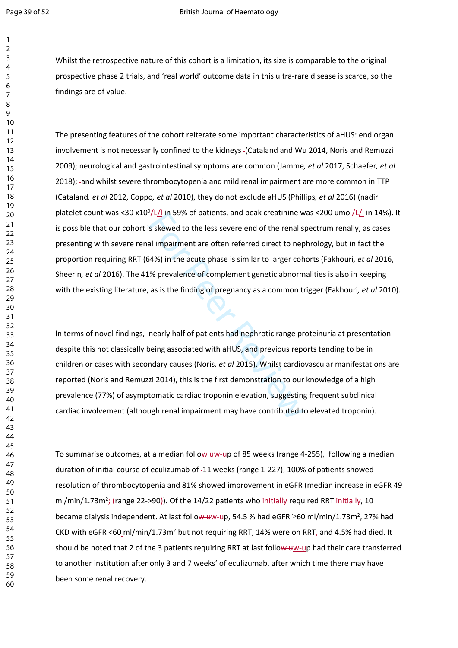Whilst the retrospective nature of this cohort is a limitation, its size is comparable to the original prospective phase 2 trials, and 'real world' outcome data in this ultra-rare disease is scarce, so the findings are of value.

The presenting features of the cohort reiterate some important characteristics of aHUS: end organ involvement is not necessarily confined to the kidneys (Cataland and Wu 2014, Noris and Remuzzi 2009); neurological and gastrointestinal symptoms are common (Jamme*, et al* 2017, Schaefer*, et al* 2018); and whilst severe thrombocytopenia and mild renal impairment are more common in TTP (Cataland*, et al* 2012, Coppo*, et al* 2010), they do not exclude aHUS (Phillips*, et al* 2016) (nadir platelet count was <30 x10<sup>9</sup>/L/L in 59% of patients, and peak creatinine was <200 umol/L/L in 14%). It is possible that our cohort is skewed to the less severe end of the renal spectrum renally, as cases presenting with severe renal impairment are often referred direct to nephrology, but in fact the proportion requiring RRT (64%) in the acute phase is similar to larger cohorts (Fakhouri*, et al* 2016, Sheerin*, et al* 2016). The 41% prevalence of complement genetic abnormalities is also in keeping with the existing literature, as is the finding of pregnancy as a common trigger (Fakhouri*, et al* 2010).

 $H_{21}$  in 59% of patients, and peak creatinine w<br>s skewed to the less severe end of the renal s<br>al impairment are often referred direct to nep<br>54%) in the acute phase is similar to larger coh<br>% prevalence of complement g In terms of novel findings, nearly half of patients had nephrotic range proteinuria at presentation despite this not classically being associated with aHUS, and previous reports tending to be in children or cases with secondary causes (Noris*, et al* 2015). Whilst cardiovascular manifestations are reported (Noris and Remuzzi 2014), this is the first demonstration to our knowledge of a high prevalence (77%) of asymptomatic cardiac troponin elevation, suggesting frequent subclinical cardiac involvement (although renal impairment may have contributed to elevated troponin).

To summarise outcomes, at a median follow uw-up of 85 weeks (range 4-255), following a median duration of initial course of eculizumab of 11 weeks (range 1-227), 100% of patients showed resolution of thrombocytopenia and 81% showed improvement in eGFR (median increase in eGFR 49 ml/min/1.73m<sup>2</sup>; {range 22->90}). Of the 14/22 patients who *initially* required RRT initially, 10 became dialysis independent. At last follow uw-up, 54.5 % had eGFR ≥60 ml/min/1.73m<sup>2</sup>, 27% had CKD with eGFR <60\_ml/min/1.73m<sup>2</sup> but not requiring RRT, 14% were on RRT, and 4.5% had died. It should be noted that 2 of the 3 patients requiring RRT at last follow uw-up had their care transferred to another institution after only 3 and 7 weeks' of eculizumab, after which time there may have been some renal recovery.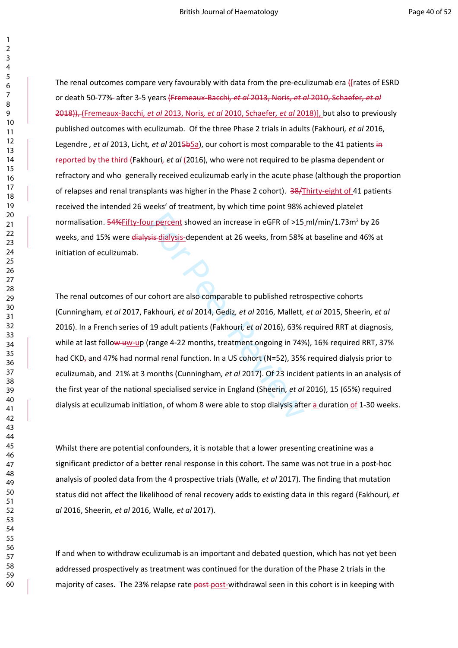The renal outcomes compare very favourably with data from the pre-eculizumab era ([rates of ESRD or death 50-77% after 3-5 years (Fremeaux-Bacchi*, et al* 2013, Noris*, et al* 2010, Schaefer*, et al* 2018)), (Fremeaux-Bacchi*, et al* 2013, Noris*, et al* 2010, Schaefer*, et al* 2018)], but also to previously published outcomes with eculizumab. Of the three Phase 2 trials in adults (Fakhouri*, et al* 2016, Legendre *, et al* 2013, Licht*, et al* 2015b5a), our cohort is most comparable to the 41 patients in reported by the third (Fakhouri*, et al* (2016), who were not required to be plasma dependent or refractory and who generally received eculizumab early in the acute phase (although the proportion of relapses and renal transplants was higher in the Phase 2 cohort). 38/Thirty-eight of 41 patients received the intended 26 weeks' of treatment, by which time point 98% achieved platelet normalisation. 54% Fifty-four percent showed an increase in eGFR of >15\_ml/min/1.73m<sup>2</sup> by 26 weeks, and 15% were dialysis-dialysis-dependent at 26 weeks, from 58% at baseline and 46% at initiation of eculizumab.

ur percent showed an increase in eGFR of >15<br>
sis-dialysis-dependent at 26 weeks, from 58%<br>
cohort are also comparable to published retro<br>
akhouri, *et al* 2014, Gediz, *et al* 2016, Mallett,<br>
19 adult patients (Fakhouri, The renal outcomes of our cohort are also comparable to published retrospective cohorts (Cunningham*, et al* 2017, Fakhouri*, et al* 2014, Gediz*, et al* 2016, Mallett*, et al* 2015, Sheerin*, et al* 2016). In a French series of 19 adult patients (Fakhouri*, et al* 2016), 63% required RRT at diagnosis, while at last follow uw-up (range 4-22 months, treatment ongoing in 74%), 16% required RRT, 37% had CKD<sub>7</sub> and 47% had normal renal function. In a US cohort (N=52), 35% required dialysis prior to eculizumab, and 21% at 3 months (Cunningham*, et al* 2017). Of 23 incident patients in an analysis of the first year of the national specialised service in England (Sheerin*, et al* 2016), 15 (65%) required dialysis at eculizumab initiation, of whom 8 were able to stop dialysis after a duration of 1-30 weeks.

Whilst there are potential confounders, it is notable that a lower presenting creatinine was a significant predictor of a better renal response in this cohort. The same was not true in a post-hoc analysis of pooled data from the 4 prospective trials (Walle*, et al* 2017). The finding that mutation status did not affect the likelihood of renal recovery adds to existing data in this regard (Fakhouri*, et al* 2016, Sheerin*, et al* 2016, Walle*, et al* 2017).

If and when to withdraw eculizumab is an important and debated question, which has not yet been addressed prospectively as treatment was continued for the duration of the Phase 2 trials in the majority of cases. The 23% relapse rate post-post-withdrawal seen in this cohort is in keeping with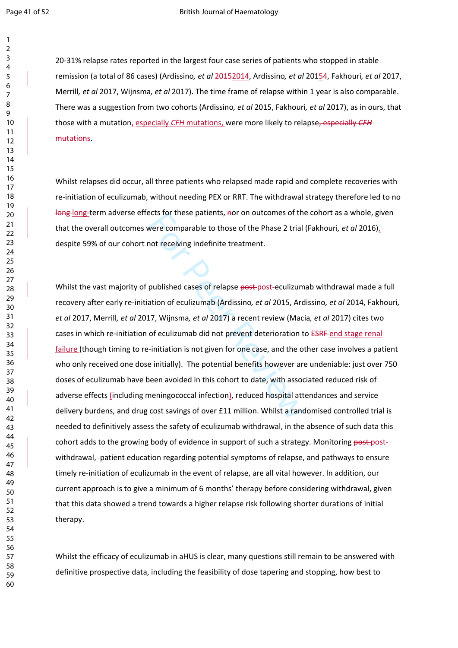$\mathbf{1}$ 

20-31% relapse rates reported in the largest four case series of patients who stopped in stable remission (a total of 86 cases) (Ardissino*, et al* 20152014, Ardissino*, et al* 20154, Fakhouri*, et al* 2017, Merrill*, et al* 2017, Wijnsma*, et al* 2017). The time frame of relapse within 1 year is also comparable. There was a suggestion from two cohorts (Ardissino*, et al* 2015, Fakhouri*, et al* 2017), as in ours, that those with a mutation, especially *CFH* mutations, were more likely to relapse<del>, especially *CFH*</del> mutations .

Whilst relapses did occur, all three patients who relapsed made rapid and complete recoveries with re-initiation of eculizumab, without needing PEX or RRT. The withdrawal strategy therefore led to no long-long-term adverse effects for these patients, nor on outcomes of the cohort as a whole, given that the overall outcomes were comparable to those of the Phase 2 trial (Fakhouri*, et al* 2016) , despite 59% of our cohort not receiving indefinite treatment.

Ects for these patients, aor on outcomes of the<br>were comparable to those of the Phase 2 trial<br>not receiving indefinite treatment.<br>published cases of relapse <del>post-post-e</del>culizum<br>ation of eculizumab (Ardissino, *et al* 2015 Whilst the vast majority of published cases of relapse post-post-eculizumab withdrawal made a full recovery after early re-initiation of eculizumab (Ardissino*, et al* 2015, Ardissino*, et al* 2014, Fakhouri*, et al* 2017, Merrill*, et al* 2017, Wijnsma*, et al* 2017) a recent review (Macia*, et al* 2017) cites two cases in which re-initiation of eculizumab did not prevent deterioration to ESRF end stage renal failure (though timing to re-initiation is not given for one case, and the other case involves a patient who only received one dose initially). The potential benefits however are undeniable: just over 750 doses of eculizumab have been avoided in this cohort to date, with associated reduced risk of adverse effects (including meningococcal infection), reduced hospital attendances and service delivery burdens, and drug cost savings of over £11 million. Whilst a randomised controlled trial is needed to definitively assess the safety of eculizumab withdrawal, in the absence of such data this cohort adds to the growing body of evidence in support of such a strategy. Monitoring post-postwithdrawal, -patient education regarding potential symptoms of relapse, and pathways to ensure timely re-initiation of eculizumab in the event of relapse, are all vital however. In addition, our current approach is to give a minimum of 6 months' therapy before considering withdrawal, given that this data showed a trend towards a higher relapse risk following shorter durations of initial therapy.

Whilst the efficacy of eculizumab in aHUS is clear, many questions still remain to be answered with definitive prospective data, including the feasibility of dose tapering and stopping, how best to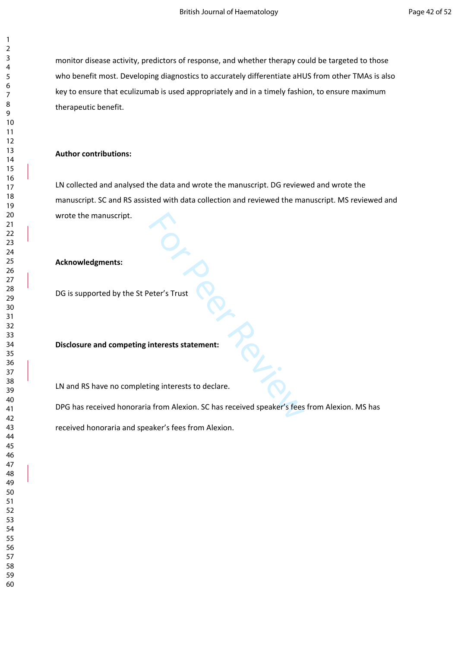monitor disease activity, predictors of response, and whether therapy could be targeted to those who benefit most. Developing diagnostics to accurately differentiate aHUS from other TMAs is also key to ensure that eculizumab is used appropriately and in a timely fashion, to ensure maximum therapeutic benefit.

### **Author contributions:**

For Peter's Trust<br>
Ceter's Trust<br>
Therests statement:<br>
Therests to declare.<br>
The person of Peter Speaker's fees<br>
A from Alexion. SC has received speaker's fees LN collected and analysed the data and wrote the manuscript. DG reviewed and wrote the manuscript. SC and RS assisted with data collection and reviewed the manuscript. MS reviewed and wrote the manuscript.

**Acknowledgments:**

DG is supported by the St Peter's Trust

**Disclosure and competing interests statement:**

LN and RS have no completing interests to declare.

DPG has received honoraria from Alexion. SC has received speaker's fees from Alexion. MS has

received honoraria and speaker's fees from Alexion.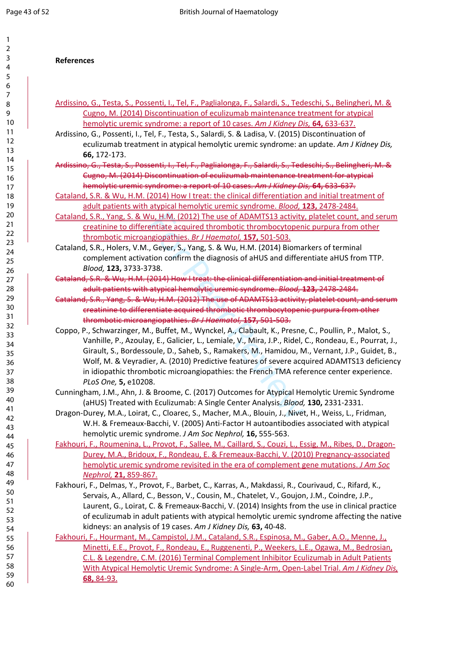# **References**

| Ardissino, G., Testa, S., Possenti, I., Tel, F., Paglialonga, F., Salardi, S., Tedeschi, S., Belingheri, M. & |
|---------------------------------------------------------------------------------------------------------------|
| Cugno, M. (2014) Discontinuation of eculizumab maintenance treatment for atypical                             |
| hemolytic uremic syndrome: a report of 10 cases. Am J Kidney Dis, 64, 633-637.                                |
|                                                                                                               |

- Ardissino, G., Possenti, I., Tel, F., Testa, S., Salardi, S. & Ladisa, V. (2015) Discontinuation of eculizumab treatment in atypical hemolytic uremic syndrome: an update. *Am J Kidney Dis,*  **66,** 172-173.
- Ardissino, G., Testa, S., Possenti, I., Tel, F., Paglialonga, F., Salardi, S., Tedeschi, S., Belingheri, M. & Cugno, M. (2014) Discontinuation of eculizumab maintenance treatment for atypical hemolytic uremic syndrome: a report of 10 cases. *Am J Kidney Dis,* **64,** 633-637.
- Cataland, S.R. & Wu, H.M. (2014) How I treat: the clinical differentiation and initial treatment of adult patients with atypical hemolytic uremic syndrome. *Blood,* **123,** 2478-2484.
- Cataland, S.R., Yang, S. & Wu, H.M. (2012) The use of ADAMTS13 activity, platelet count, and serum creatinine to differentiate acquired thrombotic thrombocytopenic purpura from other thrombotic microangiopathies. *Br J Haematol,* **157,** 501-503.
- Cataland, S.R., Holers, V.M., Geyer, S., Yang, S. & Wu, H.M. (2014) Biomarkers of terminal complement activation confirm the diagnosis of aHUS and differentiate aHUS from TTP. *Blood,* **123,** 3733-3738.
- Cataland, S.R. & Wu, H.M. (2014) How I treat: the clinical differentiation and initial treatment of adult patients with atypical hemolytic uremic syndrome. *Blood,* **123,** 2478-2484.
- Cataland, S.R., Yang, S. & Wu, H.M. (2012) The use of ADAMTS13 activity, platelet count, and serum creatinine to differentiate acquired thrombotic thrombocytopenic purpura from other thrombotic microangiopathies. *Br J Haematol,* **157,** 501-503.
- /u, H.M. (2012) The use of ADAMTS13 activity<br>entiate acquired thrombotic thrombocytopen<br>ngiopathies. *Br J Haematol*, **157**, 501-503.<br>, Geyer, S., Yang, S. & Wu, H.M. (2014) Bioma<br>tion confirm the diagnosis of aHUS and dif Coppo, P., Schwarzinger, M., Buffet, M., Wynckel, A., Clabault, K., Presne, C., Poullin, P., Malot, S., Vanhille, P., Azoulay, E., Galicier, L., Lemiale, V., Mira, J.P., Ridel, C., Rondeau, E., Pourrat, J., Girault, S., Bordessoule, D., Saheb, S., Ramakers, M., Hamidou, M., Vernant, J.P., Guidet, B., Wolf, M. & Veyradier, A. (2010) Predictive features of severe acquired ADAMTS13 deficiency in idiopathic thrombotic microangiopathies: the French TMA reference center experience. *PLoS One,* **5,** e10208.
- Cunningham, J.M., Ahn, J. & Broome, C. (2017) Outcomes for Atypical Hemolytic Uremic Syndrome (aHUS) Treated with Eculizumab: A Single Center Analysis. *Blood,* **130,** 2331-2331.
- Dragon-Durey, M.A., Loirat, C., Cloarec, S., Macher, M.A., Blouin, J., Nivet, H., Weiss, L., Fridman, W.H. & Fremeaux-Bacchi, V. (2005) Anti-Factor H autoantibodies associated with atypical hemolytic uremic syndrome. *J Am Soc Nephrol,* **16,** 555-563.
- Fakhouri, F., Roumenina, L., Provot, F., Sallee, M., Caillard, S., Couzi, L., Essig, M., Ribes, D., Dragon-Durey, M.A., Bridoux, F., Rondeau, E. & Fremeaux-Bacchi, V. (2010) Pregnancy-associated hemolytic uremic syndrome revisited in the era of complement gene mutations. *J Am Soc Nephrol,* **21,** 859-867.
- Fakhouri, F., Delmas, Y., Provot, F., Barbet, C., Karras, A., Makdassi, R., Courivaud, C., Rifard, K., Servais, A., Allard, C., Besson, V., Cousin, M., Chatelet, V., Goujon, J.M., Coindre, J.P., Laurent, G., Loirat, C. & Fremeaux-Bacchi, V. (2014) Insights from the use in clinical practice of eculizumab in adult patients with atypical hemolytic uremic syndrome affecting the native kidneys: an analysis of 19 cases. *Am J Kidney Dis,* **63,** 40-48.
- Fakhouri, F., Hourmant, M., Campistol, J.M., Cataland, S.R., Espinosa, M., Gaber, A.O., Menne, J., Minetti, E.E., Provot, F., Rondeau, E., Ruggenenti, P., Weekers, L.E., Ogawa, M., Bedrosian, C.L. & Legendre, C.M. (2016) Terminal Complement Inhibitor Eculizumab in Adult Patients With Atypical Hemolytic Uremic Syndrome: A Single-Arm, Open-Label Trial. *Am J Kidney Dis,*  **68,** 84-93.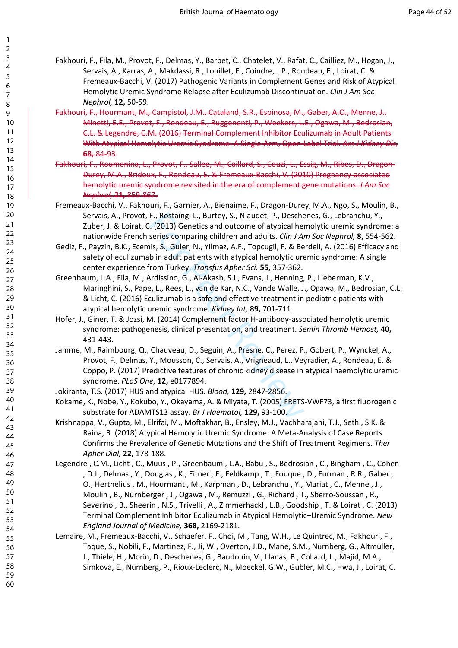- Fakhouri, F., Fila, M., Provot, F., Delmas, Y., Barbet, C., Chatelet, V., Rafat, C., Cailliez, M., Hogan, J., Servais, A., Karras, A., Makdassi, R., Louillet, F., Coindre, J.P., Rondeau, E., Loirat, C. & Fremeaux-Bacchi, V. (2017) Pathogenic Variants in Complement Genes and Risk of Atypical Hemolytic Uremic Syndrome Relapse after Eculizumab Discontinuation. *Clin J Am Soc Nephrol,* **12,** 50-59.
- Fakhouri, F., Hourmant, M., Campistol, J.M., Cataland, S.R., Espinosa, M., Gaber, A.O., Menne, J., Minetti, E.E., Provot, F., Rondeau, E., Ruggenenti, P., Weekers, L.E., Ogawa, M., Bedrosian, C.L. & Legendre, C.M. (2016) Terminal Complement Inhibitor Eculizumab in Adult Patients With Atypical Hemolytic Uremic Syndrome: A Single-Arm, Open-Label Trial. *Am J Kidney Dis,*  **68,** 84-93.
- Fakhouri, F., Roumenina, L., Provot, F., Sallee, M., Caillard, S., Couzi, L., Essig, M., Ribes, D., Dragon-Durey, M.A., Bridoux, F., Rondeau, E. & Fremeaux-Bacchi, V. (2010) Pregnancy-associated hemolytic uremic syndrome revisited in the era of complement gene mutations. *J Am Soc Nephrol,* **21,** 859-867.
- Fremeaux-Bacchi, V., Fakhouri, F., Garnier, A., Bienaime, F., Dragon-Durey, M.A., Ngo, S., Moulin, B., Servais, A., Provot, F., Rostaing, L., Burtey, S., Niaudet, P., Deschenes, G., Lebranchu, Y., Zuber, J. & Loirat, C. (2013) Genetics and outcome of atypical hemolytic uremic syndrome: a nationwide French series comparing children and adults. *Clin J Am Soc Nephrol,* **8,** 554-562.
- Gediz, F., Payzin, B.K., Ecemis, S., Guler, N., Yilmaz, A.F., Topcugil, F. & Berdeli, A. (2016) Efficacy and safety of eculizumab in adult patients with atypical hemolytic uremic syndrome: A single center experience from Turkey. *Transfus Apher Sci,* **55,** 357-362.
- Greenbaum, L.A., Fila, M., Ardissino, G., Al-Akash, S.I., Evans, J., Henning, P., Lieberman, K.V., Maringhini, S., Pape, L., Rees, L., van de Kar, N.C., Vande Walle, J., Ogawa, M., Bedrosian, C.L. & Licht, C. (2016) Eculizumab is a safe and effective treatment in pediatric patients with atypical hemolytic uremic syndrome. *Kidney Int,* **89,** 701-711.
- Hofer, J., Giner, T. & Jozsi, M. (2014) Complement factor H-antibody-associated hemolytic uremic syndrome: pathogenesis, clinical presentation, and treatment. *Semin Thromb Hemost,* **40,**  431-443.
- F., Rostaing, L., Burtey, S., Niaudet, P., Desche<br>
2. (2013) Genetics and outcome of atypical hereires comparing children and adults. *Clin J Al*<br>
11. S. S., Guler, N., Yilmaz, A.F., Topcugil, F. & Be<br>
12. S., Guler, N., Y Jamme, M., Raimbourg, Q., Chauveau, D., Seguin, A., Presne, C., Perez, P., Gobert, P., Wynckel, A., Provot, F., Delmas, Y., Mousson, C., Servais, A., Vrigneaud, L., Veyradier, A., Rondeau, E. & Coppo, P. (2017) Predictive features of chronic kidney disease in atypical haemolytic uremic syndrome. *PLoS One,* **12,** e0177894.
- Jokiranta, T.S. (2017) HUS and atypical HUS. *Blood,* **129,** 2847-2856.
- Kokame, K., Nobe, Y., Kokubo, Y., Okayama, A. & Miyata, T. (2005) FRETS-VWF73, a first fluorogenic substrate for ADAMTS13 assay. *Br J Haematol,* **129,** 93-100.
- Krishnappa, V., Gupta, M., Elrifai, M., Moftakhar, B., Ensley, M.J., Vachharajani, T.J., Sethi, S.K. & Raina, R. (2018) Atypical Hemolytic Uremic Syndrome: A Meta-Analysis of Case Reports Confirms the Prevalence of Genetic Mutations and the Shift of Treatment Regimens. *Ther Apher Dial,* **22,** 178-188.
- Legendre , C.M., Licht , C., Muus , P., Greenbaum , L.A., Babu , S., Bedrosian , C., Bingham , C., Cohen , D.J., Delmas , Y., Douglas , K., Eitner , F., Feldkamp , T., Fouque , D., Furman , R.R., Gaber , O., Herthelius , M., Hourmant , M., Karpman , D., Lebranchu , Y., Mariat , C., Menne , J., Moulin , B., Nürnberger , J., Ogawa , M., Remuzzi , G., Richard , T., Sberro-Soussan , R., Severino , B., Sheerin , N.S., Trivelli , A., Zimmerhackl , L.B., Goodship , T. & Loirat , C. (2013) Terminal Complement Inhibitor Eculizumab in Atypical Hemolytic–Uremic Syndrome. *New England Journal of Medicine,* **368,** 2169-2181.
- Lemaire, M., Fremeaux-Bacchi, V., Schaefer, F., Choi, M., Tang, W.H., Le Quintrec, M., Fakhouri, F., Taque, S., Nobili, F., Martinez, F., Ji, W., Overton, J.D., Mane, S.M., Nurnberg, G., Altmuller, J., Thiele, H., Morin, D., Deschenes, G., Baudouin, V., Llanas, B., Collard, L., Majid, M.A., Simkova, E., Nurnberg, P., Rioux-Leclerc, N., Moeckel, G.W., Gubler, M.C., Hwa, J., Loirat, C.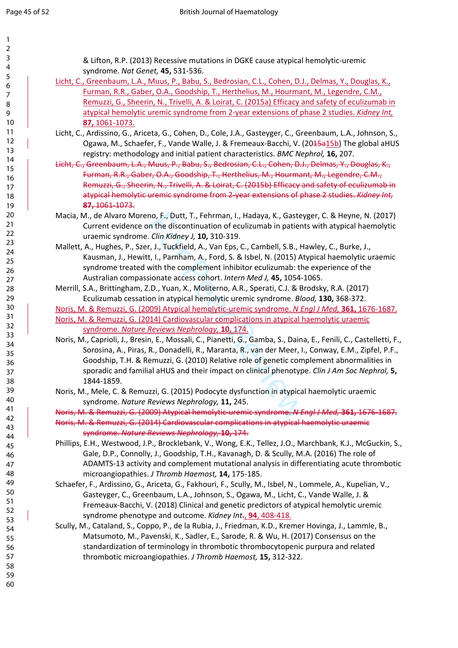| 1                                |
|----------------------------------|
| ,                                |
| 3                                |
| 4                                |
| 5                                |
| 6                                |
|                                  |
| 8                                |
|                                  |
| ĺ<br>)                           |
| 10<br>ĺ                          |
| 1<br>1                           |
| 1<br>フ                           |
| $\mathbf{1}$<br>3                |
| 4<br>1.                          |
| 15                               |
| 16                               |
| 1                                |
| 18                               |
| 19                               |
|                                  |
| 20                               |
| $\overline{21}$                  |
| $\overline{2}$<br>2              |
| $\overline{2}$<br>Ş              |
| $\frac{24}{3}$                   |
| 25                               |
| $\frac{26}{5}$                   |
| $^{27}$                          |
| $\frac{28}{3}$                   |
| 29                               |
| 30                               |
| $\overline{\textbf{3}}$          |
| $\overline{\mathbf{S}}$          |
| 2                                |
| $\mathbf{S}$<br>ξ                |
| 3.<br>4                          |
| 35                               |
| 36                               |
| 37                               |
| şξ<br>ξ                          |
| 39                               |
| 40                               |
| 41                               |
| $\overline{c}$<br>$\overline{4}$ |
| $\overline{4}$<br>3              |
| 44                               |
|                                  |
| 45                               |
| 46                               |
| 47                               |
| 48                               |
| 49                               |
| 50                               |
| 51                               |
| 5<br>$\overline{c}$              |
| 5.<br>ξ                          |
| 54                               |
| 55                               |
|                                  |
| 56                               |
| 57                               |
| 58                               |
| C<br>$\frac{1}{2}$               |

60

& Lifton, R.P. (2013) Recessive mutations in DGKE cause atypical hemolytic-uremic syndrome. *Nat Genet,* **45,** 531-536.

- Licht, C., Greenbaum, L.A., Muus, P., Babu, S., Bedrosian, C.L., Cohen, D.J., Delmas, Y., Douglas, K., Furman, R.R., Gaber, O.A., Goodship, T., Herthelius, M., Hourmant, M., Legendre, C.M., Remuzzi, G., Sheerin, N., Trivelli, A. & Loirat, C. (2015a) Efficacy and safety of eculizumab in atypical hemolytic uremic syndrome from 2-year extensions of phase 2 studies. *Kidney Int,*  **87,** 1061-1073.
- Licht, C., Ardissino, G., Ariceta, G., Cohen, D., Cole, J.A., Gasteyger, C., Greenbaum, L.A., Johnson, S., Ogawa, M., Schaefer, F., Vande Walle, J. & Fremeaux-Bacchi, V. (2015a15b) The global aHUS registry: methodology and initial patient characteristics. *BMC Nephrol,* **16,** 207.
- Licht, C., Greenbaum, L.A., Muus, P., Babu, S., Bedrosian, C.L., Cohen, D.J., Delmas, Y., Douglas, K., Furman, R.R., Gaber, O.A., Goodship, T., Herthelius, M., Hourmant, M., Legendre, C.M., Remuzzi, G., Sheerin, N., Trivelli, A. & Loirat, C. (2015b) Efficacy and safety of eculizumab in atypical hemolytic uremic syndrome from 2-year extensions of phase 2 studies. *Kidney Int,*  **87,** 1061-1073.
- Macia, M., de Alvaro Moreno, F., Dutt, T., Fehrman, I., Hadaya, K., Gasteyger, C. & Heyne, N. (2017) Current evidence on the discontinuation of eculizumab in patients with atypical haemolytic uraemic syndrome. *Clin Kidney J,* **10,** 310-319.
- Mallett, A., Hughes, P., Szer, J., Tuckfield, A., Van Eps, C., Cambell, S.B., Hawley, C., Burke, J., Kausman, J., Hewitt, I., Parnham, A., Ford, S. & Isbel, N. (2015) Atypical haemolytic uraemic syndrome treated with the complement inhibitor eculizumab: the experience of the Australian compassionate access cohort. *Intern Med J,* **45,** 1054-1065.
- Merrill, S.A., Brittingham, Z.D., Yuan, X., Moliterno, A.R., Sperati, C.J. & Brodsky, R.A. (2017) Eculizumab cessation in atypical hemolytic uremic syndrome. *Blood,* **130,** 368-372.
- Noris, M. & Remuzzi, G. (2009) Atypical hemolytic-uremic syndrome. *N Engl J Med,* **361,** 1676-1687. Noris, M. & Remuzzi, G. (2014) Cardiovascular complications in atypical haemolytic uraemic

syndrome. *Nature Reviews Nephrology,* **10,** 174.

- no, F., Dutt, T., Fehrman, I., Hadaya, K., Gastey<br>
n the discontinuation of eculizumab in patien<br> *Clin Kidney J*, **10**, 310-319.<br>
r, J., Tuckfield, A., Van Eps, C., Cambell, S.B., H<br>
t, I., Parnham, A., Ford, S. & Isbel, Noris, M., Caprioli, J., Bresin, E., Mossali, C., Pianetti, G., Gamba, S., Daina, E., Fenili, C., Castelletti, F., Sorosina, A., Piras, R., Donadelli, R., Maranta, R., van der Meer, I., Conway, E.M., Zipfel, P.F., Goodship, T.H. & Remuzzi, G. (2010) Relative role of genetic complement abnormalities in sporadic and familial aHUS and their impact on clinical phenotype. *Clin J Am Soc Nephrol,* **5,**  1844-1859.
- Noris, M., Mele, C. & Remuzzi, G. (2015) Podocyte dysfunction in atypical haemolytic uraemic syndrome. *Nature Reviews Nephrology,* **11,** 245.

Noris, M. & Remuzzi, G. (2009) Atypical hemolytic-uremic syndrome. *N Engl J Med,* **361,** 1676-1687. Noris, M. & Remuzzi, G. (2014) Cardiovascular complications in atypical haemolytic uraemic syndrome. *Nature Reviews Nephrology,* **10,** 174.

- Phillips, E.H., Westwood, J.P., Brocklebank, V., Wong, E.K., Tellez, J.O., Marchbank, K.J., McGuckin, S., Gale, D.P., Connolly, J., Goodship, T.H., Kavanagh, D. & Scully, M.A. (2016) The role of ADAMTS-13 activity and complement mutational analysis in differentiating acute thrombotic microangiopathies. *J Thromb Haemost,* **14,** 175-185.
- Schaefer, F., Ardissino, G., Ariceta, G., Fakhouri, F., Scully, M., Isbel, N., Lommele, A., Kupelian, V., Gasteyger, C., Greenbaum, L.A., Johnson, S., Ogawa, M., Licht, C., Vande Walle, J. & Fremeaux-Bacchi, V. (2018) Clinical and genetic predictors of atypical hemolytic uremic syndrome phenotype and outcome. *Kidney Int*., **94**, 408-418.
- Scully, M., Cataland, S., Coppo, P., de la Rubia, J., Friedman, K.D., Kremer Hovinga, J., Lammle, B., Matsumoto, M., Pavenski, K., Sadler, E., Sarode, R. & Wu, H. (2017) Consensus on the standardization of terminology in thrombotic thrombocytopenic purpura and related thrombotic microangiopathies. *J Thromb Haemost,* **15,** 312-322.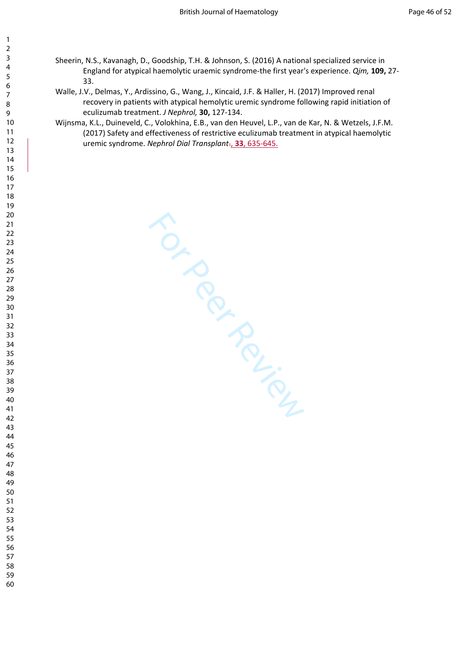- Sheerin, N.S., Kavanagh, D., Goodship, T.H. & Johnson, S. (2016) A national specialized service in England for atypical haemolytic uraemic syndrome-the first year's experience. *Qjm,* **109,** 27- 33.
	- Walle, J.V., Delmas, Y., Ardissino, G., Wang, J., Kincaid, J.F. & Haller, H. (2017) Improved renal recovery in patients with atypical hemolytic uremic syndrome following rapid initiation of eculizumab treatment. *J Nephrol,* **30,** 127-134.
	- Wijnsma, K.L., Duineveld, C., Volokhina, E.B., van den Heuvel, L.P., van de Kar, N. & Wetzels, J.F.M. (2017) Safety and effectiveness of restrictive eculizumab treatment in atypical haemolytic uremic syndrome. *Nephrol Dial Transplant*., **33**, 635-645.

TO TON POLICE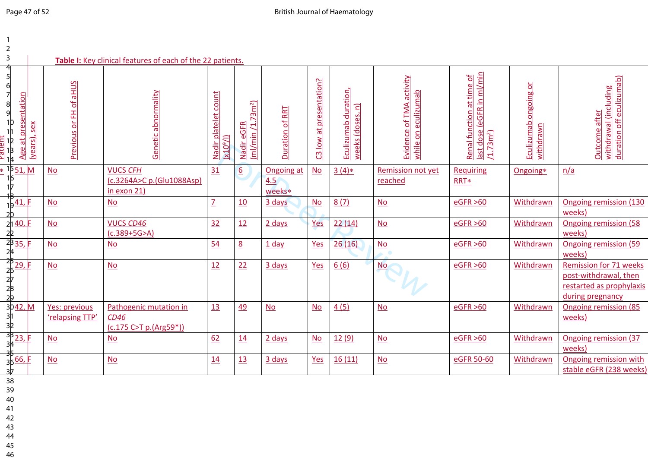# Page 47 of 52 British Journal of Haematology

| $\overline{2}$<br>$\overline{\mathbf{3}}$                                                                                              |                                         |                                         | Table I: Key clinical features of each of the 22 patients. |                                 |                                           |                                    |                            |                                          |                                                       |                                                                                |                                                     |                                                                                                        |
|----------------------------------------------------------------------------------------------------------------------------------------|-----------------------------------------|-----------------------------------------|------------------------------------------------------------|---------------------------------|-------------------------------------------|------------------------------------|----------------------------|------------------------------------------|-------------------------------------------------------|--------------------------------------------------------------------------------|-----------------------------------------------------|--------------------------------------------------------------------------------------------------------|
| -4<br>5<br>6<br>$\overline{7}$<br> 8 <br>$\overline{9}$<br>1 <sub>0</sub><br>1 1<br>$\frac{1}{14}$<br>$\frac{1}{14}$<br>$\frac{1}{14}$ | at presentation<br>(years), sex<br>Age  | of aHUS<br>or FH<br>Previous            | Genetic abnormality                                        | Nadir platelet count<br>(1760x) | (m/min/1.73m <sup>2</sup> )<br>Nadir eGFR | Duration of RRT                    | at presentation?<br>C3 low | Eculizumab duration,<br>weeks (doses, n) | activity<br>while on eculizumab<br>of TMA<br>Evidence | last dose (eGFR in ml/min<br>Renal function at time of<br>(1.73 <sup>2</sup> ) | $\frac{1}{2}$<br>ongoing<br>Eculizumab<br>withdrawn | withdrawal (including<br>duration off eculizumab)<br>Outcome after                                     |
| 16<br>17                                                                                                                               | $* 1551, M$                             | N <sub>O</sub>                          | <b>VUCS CFH</b><br>(c.3264A>C p.(Glu1088Asp)<br>in exon 21 | 31                              | $\underline{6}$                           | <b>Ongoing at</b><br>4.5<br>weeks* | <b>No</b>                  | $3(4)*$                                  | Remission not yet<br>reached                          | <b>Requiring</b><br>RRT*                                                       | Ongoing*                                            | n/a                                                                                                    |
| 2 <sub>0</sub>                                                                                                                         | $\frac{18}{19}$ $\frac{41}{19}$         | $\underline{\mathsf{No}}$               | $\underline{\mathsf{No}}$                                  | $\overline{1}$                  | 10                                        | 3 days                             | $NO$                       | 8(7)                                     | $\underline{\mathsf{No}}$                             | eGFR >60                                                                       | Withdrawn                                           | <b>Ongoing remission (130</b><br>weeks)                                                                |
|                                                                                                                                        | 2 140,<br>$\frac{22}{2335}$             | $\underline{\mathsf{No}}$               | <b>VUCS CD46</b><br>$(c.389 + 5G > A)$                     | 32                              | 12                                        | 2 days                             | Yes                        | 22(14)                                   | $\underline{\mathsf{No}}$                             | eGFR >60                                                                       | Withdrawn                                           | <b>Ongoing remission (58)</b><br>weeks)                                                                |
| 24                                                                                                                                     |                                         | $\underline{\mathsf{No}}$               | No                                                         | 54                              | $\underline{8}$                           | $1$ day                            | Yes                        | 26(16)                                   | N <sub>O</sub>                                        | eGFR >60                                                                       | Withdrawn                                           | <b>Ongoing remission (59)</b><br>weeks)                                                                |
|                                                                                                                                        | $\frac{25}{26}$<br>28<br>27<br>28<br>29 | No                                      | <b>No</b>                                                  | 12                              | 22                                        | 3 days                             | Yes                        | 6(6)                                     | No<br>И,                                              | eGFR >60                                                                       | Withdrawn                                           | <b>Remission for 71 weeks</b><br>post-withdrawal, then<br>restarted as prophylaxis<br>during pregnancy |
| $\frac{31}{32}$                                                                                                                        | 3042, M                                 | <b>Yes: previous</b><br>'relapsing TTP' | Pathogenic mutation in<br>CD46<br>(c.175 C>T p.(Arg59*))   | 13                              | 49                                        | $NO$                               | $No$                       | 4(5)                                     | $\underline{\mathsf{No}}$                             | eGFR >60                                                                       | Withdrawn                                           | <b>Ongoing remission (85</b><br>weeks)                                                                 |
| 34                                                                                                                                     | $\frac{33}{23}$                         | $NO$                                    | <b>No</b>                                                  | 62                              | 14                                        | 2 days                             | $No$                       | 12(9)                                    | $\underline{\mathsf{No}}$                             | eGFR >60                                                                       | Withdrawn                                           | <b>Ongoing remission (37)</b><br>weeks)                                                                |
| $\overline{3}$                                                                                                                         | $\frac{35}{36}$ 66, F                   | $\underline{\mathsf{No}}$               | $\underline{\mathsf{No}}$                                  | 14                              | 13                                        | 3 days                             | Yes                        | 16(11)                                   | $\underline{\mathsf{No}}$                             | eGFR 50-60                                                                     | Withdrawn                                           | Ongoing remission with<br>stable eGFR (238 weeks)                                                      |
| 38                                                                                                                                     |                                         |                                         |                                                            |                                 |                                           |                                    |                            |                                          |                                                       |                                                                                |                                                     |                                                                                                        |

39

40

41

42

43

44 45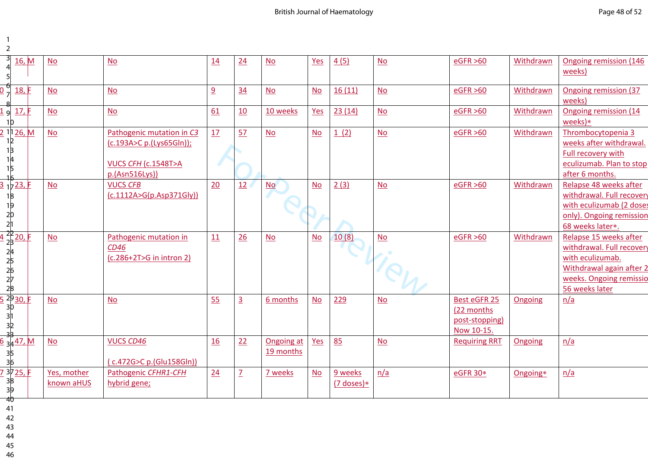| $\begin{array}{c} 3 \\ 4 \end{array}$<br>5                          | 16, M                                                                                                    | <b>No</b>                 | <b>No</b>                                                                                      | 14             | 24             | <b>No</b>                      | Yes       | 4(5)                       | No                        | eGFR >60                                                          | Withdrawn | Ongoing remission (146<br>weeks)                                                                                                                 |
|---------------------------------------------------------------------|----------------------------------------------------------------------------------------------------------|---------------------------|------------------------------------------------------------------------------------------------|----------------|----------------|--------------------------------|-----------|----------------------------|---------------------------|-------------------------------------------------------------------|-----------|--------------------------------------------------------------------------------------------------------------------------------------------------|
| $\frac{1}{2}$                                                       | 18, F                                                                                                    | No                        | <b>No</b>                                                                                      | $\overline{9}$ | 34             | <b>No</b>                      | <b>No</b> | 16(11)                     | $\underline{\mathsf{No}}$ | eGFR >60                                                          | Withdrawn | <b>Ongoing remission (37</b><br>weeks)                                                                                                           |
| $\frac{1}{9}$<br>1 <sub>0</sub>                                     | 17, F                                                                                                    | No                        | <b>No</b>                                                                                      | 61             | 10             | 10 weeks                       | Yes       | 23(14)                     | No                        | eGFR >60                                                          | Withdrawn | <b>Ongoing remission (14</b><br>weeks)*                                                                                                          |
| 12<br>$1\overline{5}$<br>1 4<br>15                                  | <u>2</u> 1 <mark>1 26, M</mark>                                                                          | N <sub>O</sub>            | Pathogenic mutation in C3<br>(c.193A>C p.(Lys65Gln));<br>VUCS CFH (c.1548T>A<br>p.(Asn516Lys)) | 17             | 57             | <b>No</b>                      | $No$      | 1(2)                       | $\underline{\mathsf{No}}$ | eGFR >60                                                          | Withdrawn | Thrombocytopenia 3<br>weeks after withdrawal.<br>Full recovery with<br>eculizumab. Plan to stop<br>after 6 months.                               |
| 18<br>1 <sup>9</sup><br>$\begin{array}{c}\n 20 \\  21\n\end{array}$ | $\frac{3}{17}$ 23, 1                                                                                     | N <sub>O</sub>            | <b>VUCS CFB</b><br>(c.1112A>G(p.Asp371Gly))                                                    | 20             | 12             | No                             | <b>No</b> | 2(3)                       | $\underline{\mathsf{No}}$ | eGFR >60                                                          | Withdrawn | Relapse 48 weeks after<br>withdrawal. Full recovery<br>with eculizumab (2 doses<br>only). Ongoing remission<br>68 weeks later*.                  |
|                                                                     | $\frac{4 \frac{22}{23}}{24}$<br>$\frac{28}{24}$<br>$\frac{24}{25}$<br>$\frac{26}{27}$<br>$\frac{28}{27}$ | No                        | Pathogenic mutation in<br>CD46<br>$(c.286+2T>G)$ in intron 2)                                  | 11             | 26             | <b>No</b>                      | <b>No</b> | 10(8)                      | <b>No</b>                 | eGFR >60                                                          | Withdrawn | Relapse 15 weeks after<br>withdrawal. Full recovery<br>with eculizumab.<br>Withdrawal again after 2<br>weeks. Ongoing remissio<br>56 weeks later |
|                                                                     |                                                                                                          | <b>No</b>                 | <b>No</b>                                                                                      | 55             | $\overline{3}$ | 6 months                       | <b>No</b> | 229                        | <b>No</b>                 | <b>Best eGFR 25</b><br>(22 months<br>post-stopping)<br>Now 10-15. | Ongoing   | n/a                                                                                                                                              |
|                                                                     |                                                                                                          | No                        | VUCS CD46<br>(c.472G>C p.(Glu158Gln))                                                          | 16             | 22             | <b>Ongoing at</b><br>19 months | Yes       | 85                         | <b>No</b>                 | <b>Requiring RRT</b>                                              | Ongoing   | n/a                                                                                                                                              |
|                                                                     |                                                                                                          | Yes, mother<br>known aHUS | Pathogenic CFHR1-CFH<br>hybrid gene;                                                           | 24             | $\overline{1}$ | 7 weeks                        | <b>No</b> | 9 weeks<br>$(7$ doses) $*$ | n/a                       | eGFR 30*                                                          | Ongoing*  | n/a                                                                                                                                              |
| -40                                                                 |                                                                                                          |                           |                                                                                                |                |                |                                |           |                            |                           |                                                                   |           |                                                                                                                                                  |

42

43

44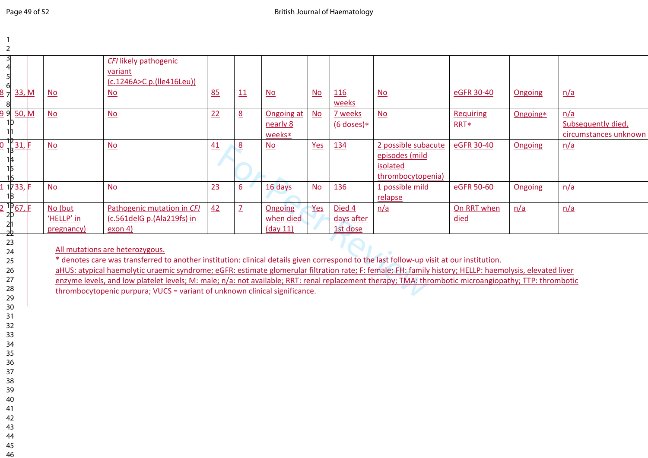1  $\overline{2}$ 

|                                                     |       |                                                                                                                                                                                                                                                                                                     | CFI likely pathogenic           |    |                 |                   |           |                 |                     |                  |                |                       |
|-----------------------------------------------------|-------|-----------------------------------------------------------------------------------------------------------------------------------------------------------------------------------------------------------------------------------------------------------------------------------------------------|---------------------------------|----|-----------------|-------------------|-----------|-----------------|---------------------|------------------|----------------|-----------------------|
| $\mathsf{5}$                                        |       |                                                                                                                                                                                                                                                                                                     | variant                         |    |                 |                   |           |                 |                     |                  |                |                       |
|                                                     |       |                                                                                                                                                                                                                                                                                                     | (c.1246A > C p.(He416Leu))      |    |                 |                   |           |                 |                     |                  |                |                       |
| -8                                                  | 33, M | <b>No</b>                                                                                                                                                                                                                                                                                           | No                              | 85 | 11              | $No$              | $No$      | 116<br>weeks    | No                  | eGFR 30-40       | Ongoing        | n/a                   |
| $9\,9\,50, M$                                       |       | <b>No</b>                                                                                                                                                                                                                                                                                           | <b>No</b>                       | 22 | $\underline{8}$ | <b>Ongoing at</b> | <b>No</b> | 7 weeks         | <b>No</b>           | <b>Requiring</b> | Ongoing*       | n/a                   |
| 1þ                                                  |       |                                                                                                                                                                                                                                                                                                     |                                 |    |                 | nearly 8          |           | $(6$ doses) $*$ |                     | RRT*             |                | Subsequently died,    |
| 11                                                  |       |                                                                                                                                                                                                                                                                                                     |                                 |    |                 | weeks*            |           |                 |                     |                  |                | circumstances unknown |
| $\frac{12}{13}$ $\frac{31}{1}$                      |       | <b>No</b>                                                                                                                                                                                                                                                                                           | <b>No</b>                       | 41 | $\underline{8}$ | <b>No</b>         | Yes       | 134             | 2 possible subacute | eGFR 30-40       | Ongoing        | n/a                   |
|                                                     |       |                                                                                                                                                                                                                                                                                                     |                                 |    |                 |                   |           |                 | episodes (mild      |                  |                |                       |
| 14                                                  |       |                                                                                                                                                                                                                                                                                                     |                                 |    |                 |                   |           |                 | isolated            |                  |                |                       |
| $\begin{array}{c} 15 \\ 16 \end{array}$             |       |                                                                                                                                                                                                                                                                                                     |                                 |    |                 |                   |           |                 | thrombocytopenia)   |                  |                |                       |
| 1733, I                                             |       | <b>No</b>                                                                                                                                                                                                                                                                                           | <b>No</b>                       | 23 | $\underline{6}$ | 16 days           | <b>No</b> | 136             | 1 possible mild     | eGFR 50-60       | <b>Ongoing</b> | n/a                   |
| 18                                                  |       |                                                                                                                                                                                                                                                                                                     |                                 |    |                 |                   |           |                 | relapse             |                  |                |                       |
| $19_{67}$                                           |       | No (but                                                                                                                                                                                                                                                                                             | Pathogenic mutation in CFI      | 42 |                 | <b>Ongoing</b>    | Yes       | Died 4          | n/a                 | On RRT when      | n/a            | n/a                   |
|                                                     |       | 'HELLP' in                                                                                                                                                                                                                                                                                          | (c.561delG p.(Ala219fs) in      |    |                 | when died         |           | days after      |                     | died             |                |                       |
| $\frac{2}{2}$<br>$\frac{19}{20}$<br>$\frac{21}{22}$ |       | pregnancy)                                                                                                                                                                                                                                                                                          | exon 4)                         |    |                 | (day 11)          |           | 1st dose        |                     |                  |                |                       |
| 23                                                  |       |                                                                                                                                                                                                                                                                                                     |                                 |    |                 |                   |           |                 |                     |                  |                |                       |
| 24                                                  |       |                                                                                                                                                                                                                                                                                                     | All mutations are heterozygous. |    |                 |                   |           |                 |                     |                  |                |                       |
| 25                                                  |       |                                                                                                                                                                                                                                                                                                     |                                 |    |                 |                   |           |                 |                     |                  |                |                       |
| 26                                                  |       | * denotes care was transferred to another institution: clinical details given correspond to the last follow-up visit at our institution.<br>aHUS: atypical haemolytic uraemic syndrome; eGFR: estimate glomerular filtration rate; F: female; FH: family history; HELLP: haemolysis, elevated liver |                                 |    |                 |                   |           |                 |                     |                  |                |                       |
| 27                                                  |       | enzyme levels, and low platelet levels; M: male; n/a: not available; RRT: renal replacement therapy; TMA: thrombotic microangiopathy; TTP: thrombotic                                                                                                                                               |                                 |    |                 |                   |           |                 |                     |                  |                |                       |
| 28                                                  |       | thrombocytopenic purpura; VUCS = variant of unknown clinical significance.                                                                                                                                                                                                                          |                                 |    |                 |                   |           |                 |                     |                  |                |                       |
| 29                                                  |       |                                                                                                                                                                                                                                                                                                     |                                 |    |                 |                   |           |                 |                     |                  |                |                       |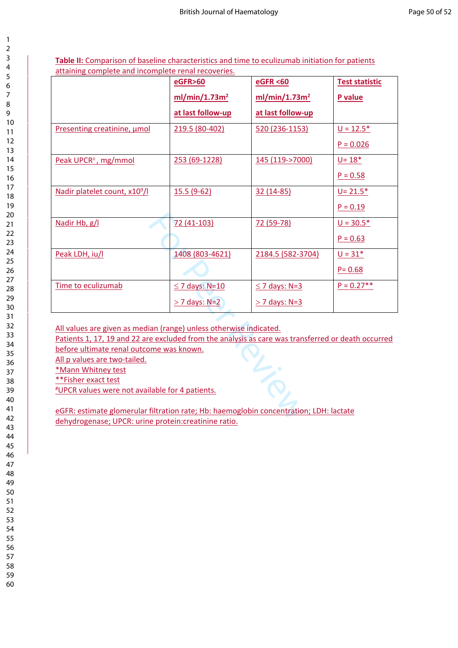| <u>attaining complete and incomplete renarrecoveries.</u>                                          |                           |                           |                       |  |  |  |  |
|----------------------------------------------------------------------------------------------------|---------------------------|---------------------------|-----------------------|--|--|--|--|
|                                                                                                    | <b>eGFR&gt;60</b>         | <b>eGFR &lt;60</b>        | <b>Test statistic</b> |  |  |  |  |
|                                                                                                    | ml/min/1.73m <sup>2</sup> | ml/min/1.73m <sup>2</sup> | P value               |  |  |  |  |
|                                                                                                    | at last follow-up         | at last follow-up         |                       |  |  |  |  |
| Presenting creatinine, umol                                                                        | 219.5 (80-402)            | 520 (236-1153)            | $U = 12.5*$           |  |  |  |  |
|                                                                                                    |                           |                           | $P = 0.026$           |  |  |  |  |
| Peak UPCR <sup>#</sup> , mg/mmol                                                                   | 253 (69-1228)             | 145 (119->7000)           | $U = 18*$             |  |  |  |  |
|                                                                                                    |                           |                           | $P = 0.58$            |  |  |  |  |
| Nadir platelet count, x10 <sup>9</sup> /l                                                          | $15.5(9-62)$              | 32 (14-85)                | $U = 21.5*$           |  |  |  |  |
|                                                                                                    |                           |                           | $P = 0.19$            |  |  |  |  |
| Nadir Hb, g/l                                                                                      | 72 (41-103)               | 72 (59-78)                | $U = 30.5*$           |  |  |  |  |
|                                                                                                    |                           |                           | $P = 0.63$            |  |  |  |  |
| Peak LDH, iu/l                                                                                     | 1408 (803-4621)           | 2184.5 (582-3704)         | $U = 31*$             |  |  |  |  |
|                                                                                                    |                           |                           | $P = 0.68$            |  |  |  |  |
| Time to eculizumab                                                                                 | $\leq$ 7 days: N=10       | $\leq$ 7 days: N=3        | $P = 0.27$ **         |  |  |  |  |
|                                                                                                    | $>$ 7 days: N=2           | $>$ 7 days: N=3           |                       |  |  |  |  |
|                                                                                                    |                           |                           |                       |  |  |  |  |
| All values are given as median (range) unless otherwise indicated.                                 |                           |                           |                       |  |  |  |  |
| Patients 1, 17, 19 and 22 are excluded from the analysis as care was transferred or death occurred |                           |                           |                       |  |  |  |  |
| before ultimate renal outcome was known.                                                           |                           |                           |                       |  |  |  |  |
| All p values are two-tailed.                                                                       |                           |                           |                       |  |  |  |  |
| *Mann Whitney test                                                                                 |                           |                           |                       |  |  |  |  |
| **Fisher exact test                                                                                |                           |                           |                       |  |  |  |  |
| #UPCR values were not available for 4 patients.                                                    |                           |                           |                       |  |  |  |  |
| eGFR: estimate glomerular filtration rate; Hb: haemoglobin concentration; LDH: lactate             |                           |                           |                       |  |  |  |  |
| debydrogenase: LIDCP: urine protein:creatinine ratio                                               |                           |                           |                       |  |  |  |  |

**Table II:** Comparison of baseline characteristics and time to eculizumab initiation for patients attaining complete and incomplete renal recoveries.

eGFR: estimate glomerular filtration rate; Hb: haemoglobin concentration; LDH: lactate dehydrogenase; UPCR: urine protein:creatinine ratio.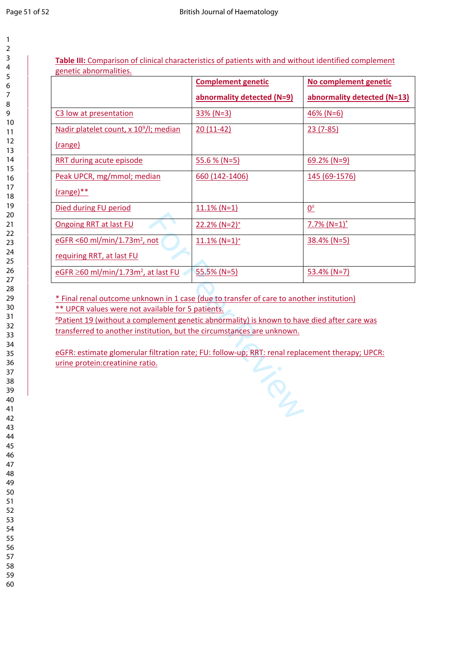| Table III: Comparison of clinical characteristics of patients with and without identified complement |  |  |
|------------------------------------------------------------------------------------------------------|--|--|
| genetic abnormalities.                                                                               |  |  |

| <u>geneut abhonnanties.</u>                                                                                                                                                                                                                                                                                            | <b>Complement genetic</b>  | No complement genetic       |  |  |  |  |  |
|------------------------------------------------------------------------------------------------------------------------------------------------------------------------------------------------------------------------------------------------------------------------------------------------------------------------|----------------------------|-----------------------------|--|--|--|--|--|
|                                                                                                                                                                                                                                                                                                                        | abnormality detected (N=9) | abnormality detected (N=13) |  |  |  |  |  |
| C3 low at presentation                                                                                                                                                                                                                                                                                                 | $33\%$ (N=3)               | $46\%$ (N=6)                |  |  |  |  |  |
| Nadir platelet count, x 10 <sup>9</sup> /l; median                                                                                                                                                                                                                                                                     | $20(11-42)$                | $23(7-85)$                  |  |  |  |  |  |
| (range)                                                                                                                                                                                                                                                                                                                |                            |                             |  |  |  |  |  |
| RRT during acute episode                                                                                                                                                                                                                                                                                               | $55.6 % (N=5)$             | $69.2\% (N=9)$              |  |  |  |  |  |
| Peak UPCR, mg/mmol; median                                                                                                                                                                                                                                                                                             | 660 (142-1406)             | 145 (69-1576)               |  |  |  |  |  |
| $(range)**$                                                                                                                                                                                                                                                                                                            |                            |                             |  |  |  |  |  |
| Died during FU period                                                                                                                                                                                                                                                                                                  | $11.1\% (N=1)$             | $0^{\#}$                    |  |  |  |  |  |
| <b>Ongoing RRT at last FU</b>                                                                                                                                                                                                                                                                                          | $22.2\% (N=2)^*$           | $7.7\% (N=1)^*$             |  |  |  |  |  |
| eGFR <60 ml/min/1.73m <sup>2</sup> , not                                                                                                                                                                                                                                                                               | $11.1\%$ (N=1)*            | 38.4% (N=5)                 |  |  |  |  |  |
| requiring RRT, at last FU                                                                                                                                                                                                                                                                                              |                            |                             |  |  |  |  |  |
| eGFR ≥60 ml/min/1.73m <sup>2</sup> , at last FU                                                                                                                                                                                                                                                                        | 55.5% (N=5)                | 53.4% (N=7)                 |  |  |  |  |  |
| * Final renal outcome unknown in 1 case (due to transfer of care to another institution)<br>** UPCR values were not available for 5 patients.<br>#Patient 19 (without a complement genetic abnormality) is known to have died after care was<br>transferred to another institution, but the circumstances are unknown. |                            |                             |  |  |  |  |  |
| eGFR: estimate glomerular filtration rate; FU: follow-up; RRT: renal replacement therapy; UPCR:<br>urine protein: creatinine ratio.                                                                                                                                                                                    |                            |                             |  |  |  |  |  |
|                                                                                                                                                                                                                                                                                                                        |                            |                             |  |  |  |  |  |